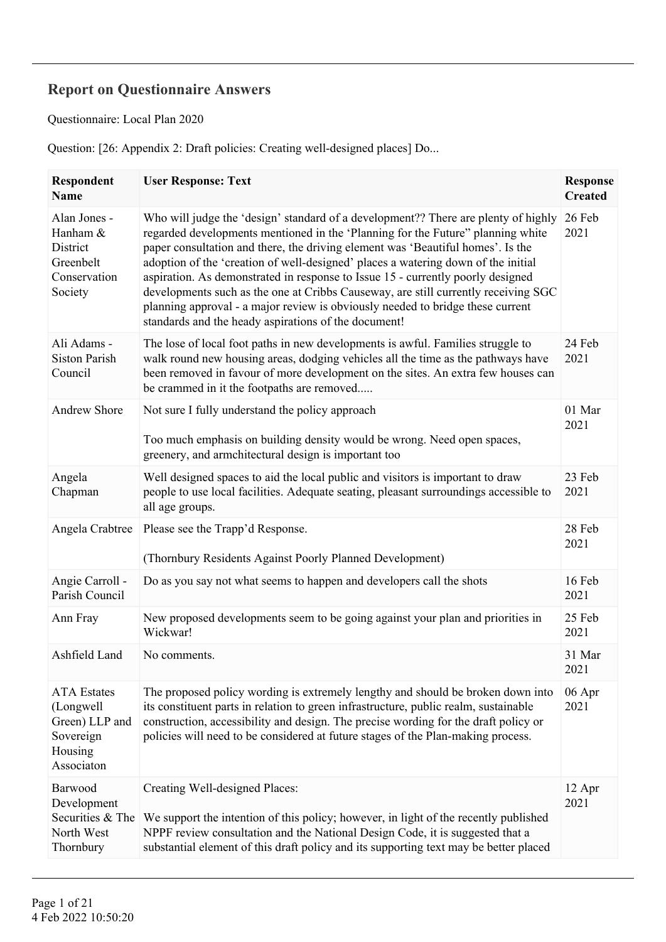## **Report on Questionnaire Answers**

Questionnaire: Local Plan 2020

Question: [26: Appendix 2: Draft policies: Creating well-designed places] Do...

| Respondent<br><b>Name</b>                                                               | <b>User Response: Text</b>                                                                                                                                                                                                                                                                                                                                                                                                                                                                                                                                                                                                                                        | <b>Response</b><br><b>Created</b> |
|-----------------------------------------------------------------------------------------|-------------------------------------------------------------------------------------------------------------------------------------------------------------------------------------------------------------------------------------------------------------------------------------------------------------------------------------------------------------------------------------------------------------------------------------------------------------------------------------------------------------------------------------------------------------------------------------------------------------------------------------------------------------------|-----------------------------------|
| Alan Jones -<br>Hanham &<br>District<br>Greenbelt<br>Conservation<br>Society            | Who will judge the 'design' standard of a development?? There are plenty of highly<br>regarded developments mentioned in the 'Planning for the Future'' planning white<br>paper consultation and there, the driving element was 'Beautiful homes'. Is the<br>adoption of the 'creation of well-designed' places a watering down of the initial<br>aspiration. As demonstrated in response to Issue 15 - currently poorly designed<br>developments such as the one at Cribbs Causeway, are still currently receiving SGC<br>planning approval - a major review is obviously needed to bridge these current<br>standards and the heady aspirations of the document! | 26 Feb<br>2021                    |
| Ali Adams -<br><b>Siston Parish</b><br>Council                                          | The lose of local foot paths in new developments is awful. Families struggle to<br>walk round new housing areas, dodging vehicles all the time as the pathways have<br>been removed in favour of more development on the sites. An extra few houses can<br>be crammed in it the footpaths are removed                                                                                                                                                                                                                                                                                                                                                             | 24 Feb<br>2021                    |
| <b>Andrew Shore</b>                                                                     | Not sure I fully understand the policy approach<br>Too much emphasis on building density would be wrong. Need open spaces,<br>greenery, and armchitectural design is important too                                                                                                                                                                                                                                                                                                                                                                                                                                                                                | 01 Mar<br>2021                    |
| Angela<br>Chapman                                                                       | Well designed spaces to aid the local public and visitors is important to draw<br>people to use local facilities. Adequate seating, pleasant surroundings accessible to<br>all age groups.                                                                                                                                                                                                                                                                                                                                                                                                                                                                        | 23 Feb<br>2021                    |
| Angela Crabtree                                                                         | Please see the Trapp'd Response.<br>(Thornbury Residents Against Poorly Planned Development)                                                                                                                                                                                                                                                                                                                                                                                                                                                                                                                                                                      | 28 Feb<br>2021                    |
| Angie Carroll -<br>Parish Council                                                       | Do as you say not what seems to happen and developers call the shots                                                                                                                                                                                                                                                                                                                                                                                                                                                                                                                                                                                              | 16 Feb<br>2021                    |
| Ann Fray                                                                                | New proposed developments seem to be going against your plan and priorities in<br>Wickwar!                                                                                                                                                                                                                                                                                                                                                                                                                                                                                                                                                                        | 25 Feb<br>2021                    |
| Ashfield Land                                                                           | No comments.                                                                                                                                                                                                                                                                                                                                                                                                                                                                                                                                                                                                                                                      | 31 Mar<br>2021                    |
| <b>ATA</b> Estates<br>(Longwell<br>Green) LLP and<br>Sovereign<br>Housing<br>Associaton | The proposed policy wording is extremely lengthy and should be broken down into<br>its constituent parts in relation to green infrastructure, public realm, sustainable<br>construction, accessibility and design. The precise wording for the draft policy or<br>policies will need to be considered at future stages of the Plan-making process.                                                                                                                                                                                                                                                                                                                | 06 Apr<br>2021                    |
| Barwood<br>Development<br>Securities & The<br>North West<br>Thornbury                   | Creating Well-designed Places:<br>We support the intention of this policy; however, in light of the recently published<br>NPPF review consultation and the National Design Code, it is suggested that a<br>substantial element of this draft policy and its supporting text may be better placed                                                                                                                                                                                                                                                                                                                                                                  | 12 Apr<br>2021                    |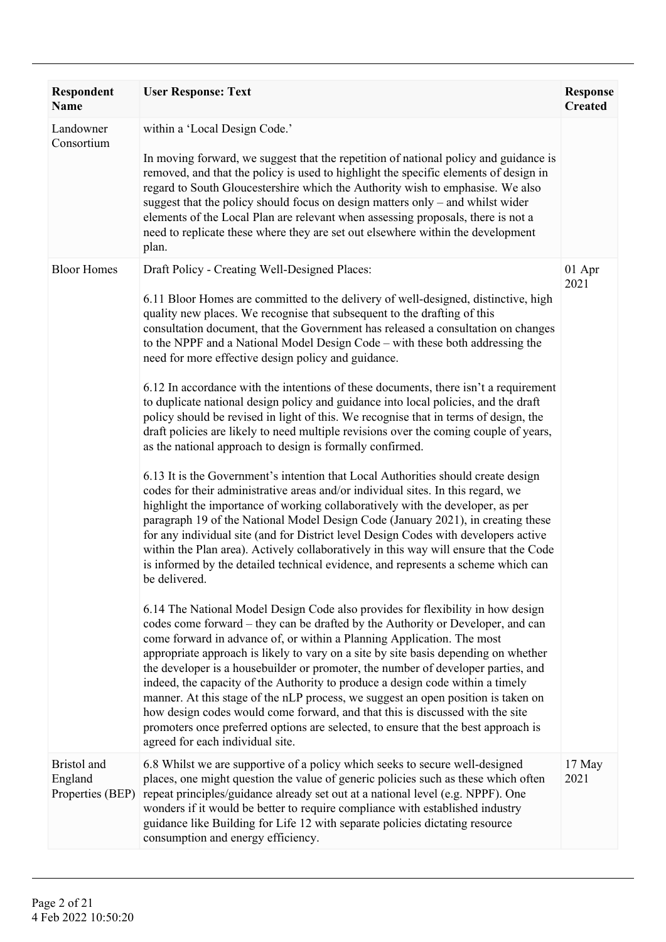| <b>Respondent</b><br><b>Name</b>           | <b>User Response: Text</b>                                                                                                                                                                                                                                                                                                                                                                                                                                                                                                                                                                                                                                                                                                                                                                                                                                                                                                                                                                                                                                                                                                                                                                                                                                                                                                                                                                                                                                                                                                                                                                                                                                                                                                                                                                                                                                                                                                                                                                                                                                                                                                                                                                                                                                                                                                   | <b>Response</b><br><b>Created</b> |
|--------------------------------------------|------------------------------------------------------------------------------------------------------------------------------------------------------------------------------------------------------------------------------------------------------------------------------------------------------------------------------------------------------------------------------------------------------------------------------------------------------------------------------------------------------------------------------------------------------------------------------------------------------------------------------------------------------------------------------------------------------------------------------------------------------------------------------------------------------------------------------------------------------------------------------------------------------------------------------------------------------------------------------------------------------------------------------------------------------------------------------------------------------------------------------------------------------------------------------------------------------------------------------------------------------------------------------------------------------------------------------------------------------------------------------------------------------------------------------------------------------------------------------------------------------------------------------------------------------------------------------------------------------------------------------------------------------------------------------------------------------------------------------------------------------------------------------------------------------------------------------------------------------------------------------------------------------------------------------------------------------------------------------------------------------------------------------------------------------------------------------------------------------------------------------------------------------------------------------------------------------------------------------------------------------------------------------------------------------------------------------|-----------------------------------|
| Landowner<br>Consortium                    | within a 'Local Design Code.'<br>In moving forward, we suggest that the repetition of national policy and guidance is<br>removed, and that the policy is used to highlight the specific elements of design in<br>regard to South Gloucestershire which the Authority wish to emphasise. We also<br>suggest that the policy should focus on design matters only – and whilst wider<br>elements of the Local Plan are relevant when assessing proposals, there is not a<br>need to replicate these where they are set out elsewhere within the development<br>plan.                                                                                                                                                                                                                                                                                                                                                                                                                                                                                                                                                                                                                                                                                                                                                                                                                                                                                                                                                                                                                                                                                                                                                                                                                                                                                                                                                                                                                                                                                                                                                                                                                                                                                                                                                            |                                   |
| <b>Bloor Homes</b>                         | Draft Policy - Creating Well-Designed Places:<br>6.11 Bloor Homes are committed to the delivery of well-designed, distinctive, high<br>quality new places. We recognise that subsequent to the drafting of this<br>consultation document, that the Government has released a consultation on changes<br>to the NPPF and a National Model Design Code – with these both addressing the<br>need for more effective design policy and guidance.<br>6.12 In accordance with the intentions of these documents, there isn't a requirement<br>to duplicate national design policy and guidance into local policies, and the draft<br>policy should be revised in light of this. We recognise that in terms of design, the<br>draft policies are likely to need multiple revisions over the coming couple of years,<br>as the national approach to design is formally confirmed.<br>6.13 It is the Government's intention that Local Authorities should create design<br>codes for their administrative areas and/or individual sites. In this regard, we<br>highlight the importance of working collaboratively with the developer, as per<br>paragraph 19 of the National Model Design Code (January 2021), in creating these<br>for any individual site (and for District level Design Codes with developers active<br>within the Plan area). Actively collaboratively in this way will ensure that the Code<br>is informed by the detailed technical evidence, and represents a scheme which can<br>be delivered.<br>6.14 The National Model Design Code also provides for flexibility in how design<br>codes come forward – they can be drafted by the Authority or Developer, and can<br>come forward in advance of, or within a Planning Application. The most<br>appropriate approach is likely to vary on a site by site basis depending on whether<br>the developer is a housebuilder or promoter, the number of developer parties, and<br>indeed, the capacity of the Authority to produce a design code within a timely<br>manner. At this stage of the nLP process, we suggest an open position is taken on<br>how design codes would come forward, and that this is discussed with the site<br>promoters once preferred options are selected, to ensure that the best approach is<br>agreed for each individual site. | 01 Apr<br>2021                    |
| Bristol and<br>England<br>Properties (BEP) | 6.8 Whilst we are supportive of a policy which seeks to secure well-designed<br>places, one might question the value of generic policies such as these which often<br>repeat principles/guidance already set out at a national level (e.g. NPPF). One<br>wonders if it would be better to require compliance with established industry<br>guidance like Building for Life 12 with separate policies dictating resource<br>consumption and energy efficiency.                                                                                                                                                                                                                                                                                                                                                                                                                                                                                                                                                                                                                                                                                                                                                                                                                                                                                                                                                                                                                                                                                                                                                                                                                                                                                                                                                                                                                                                                                                                                                                                                                                                                                                                                                                                                                                                                 | 17 May<br>2021                    |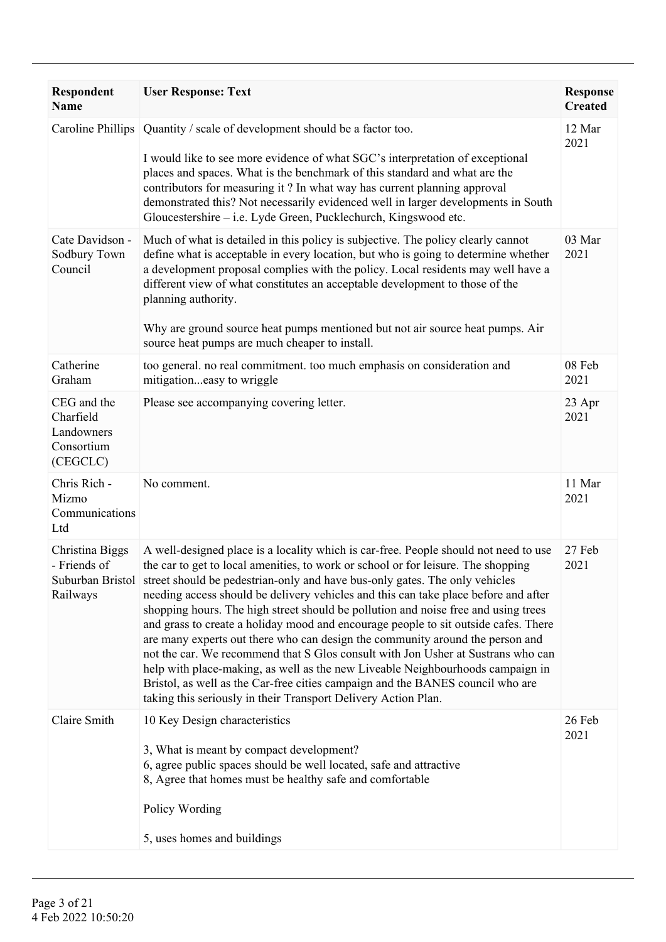| Respondent<br><b>Name</b>                                        | <b>User Response: Text</b>                                                                                                                                                                                                                                                                                                                                                                                                                                                                                                                                                                                                                                                                                                                                                                                                                                                                                                                               | <b>Response</b><br><b>Created</b> |
|------------------------------------------------------------------|----------------------------------------------------------------------------------------------------------------------------------------------------------------------------------------------------------------------------------------------------------------------------------------------------------------------------------------------------------------------------------------------------------------------------------------------------------------------------------------------------------------------------------------------------------------------------------------------------------------------------------------------------------------------------------------------------------------------------------------------------------------------------------------------------------------------------------------------------------------------------------------------------------------------------------------------------------|-----------------------------------|
| Caroline Phillips                                                | Quantity / scale of development should be a factor too.<br>I would like to see more evidence of what SGC's interpretation of exceptional<br>places and spaces. What is the benchmark of this standard and what are the<br>contributors for measuring it? In what way has current planning approval<br>demonstrated this? Not necessarily evidenced well in larger developments in South<br>Gloucestershire – i.e. Lyde Green, Pucklechurch, Kingswood etc.                                                                                                                                                                                                                                                                                                                                                                                                                                                                                               | 12 Mar<br>2021                    |
| Cate Davidson -<br>Sodbury Town<br>Council                       | Much of what is detailed in this policy is subjective. The policy clearly cannot<br>define what is acceptable in every location, but who is going to determine whether<br>a development proposal complies with the policy. Local residents may well have a<br>different view of what constitutes an acceptable development to those of the<br>planning authority.<br>Why are ground source heat pumps mentioned but not air source heat pumps. Air<br>source heat pumps are much cheaper to install.                                                                                                                                                                                                                                                                                                                                                                                                                                                     | 03 Mar<br>2021                    |
| Catherine<br>Graham                                              | too general. no real commitment. too much emphasis on consideration and<br>mitigationeasy to wriggle                                                                                                                                                                                                                                                                                                                                                                                                                                                                                                                                                                                                                                                                                                                                                                                                                                                     | 08 Feb<br>2021                    |
| CEG and the<br>Charfield<br>Landowners<br>Consortium<br>(CEGCLC) | Please see accompanying covering letter.                                                                                                                                                                                                                                                                                                                                                                                                                                                                                                                                                                                                                                                                                                                                                                                                                                                                                                                 | 23 Apr<br>2021                    |
| Chris Rich -<br>Mizmo<br>Communications<br>Ltd                   | No comment.                                                                                                                                                                                                                                                                                                                                                                                                                                                                                                                                                                                                                                                                                                                                                                                                                                                                                                                                              | 11 Mar<br>2021                    |
| Christina Biggs<br>- Friends of<br>Railways                      | A well-designed place is a locality which is car-free. People should not need to use<br>the car to get to local amenities, to work or school or for leisure. The shopping<br>Suburban Bristol street should be pedestrian-only and have bus-only gates. The only vehicles<br>needing access should be delivery vehicles and this can take place before and after<br>shopping hours. The high street should be pollution and noise free and using trees<br>and grass to create a holiday mood and encourage people to sit outside cafes. There<br>are many experts out there who can design the community around the person and<br>not the car. We recommend that S Glos consult with Jon Usher at Sustrans who can<br>help with place-making, as well as the new Liveable Neighbourhoods campaign in<br>Bristol, as well as the Car-free cities campaign and the BANES council who are<br>taking this seriously in their Transport Delivery Action Plan. | 27 Feb<br>2021                    |
| Claire Smith                                                     | 10 Key Design characteristics<br>3, What is meant by compact development?<br>6, agree public spaces should be well located, safe and attractive<br>8, Agree that homes must be healthy safe and comfortable<br>Policy Wording                                                                                                                                                                                                                                                                                                                                                                                                                                                                                                                                                                                                                                                                                                                            | 26 Feb<br>2021                    |
|                                                                  | 5, uses homes and buildings                                                                                                                                                                                                                                                                                                                                                                                                                                                                                                                                                                                                                                                                                                                                                                                                                                                                                                                              |                                   |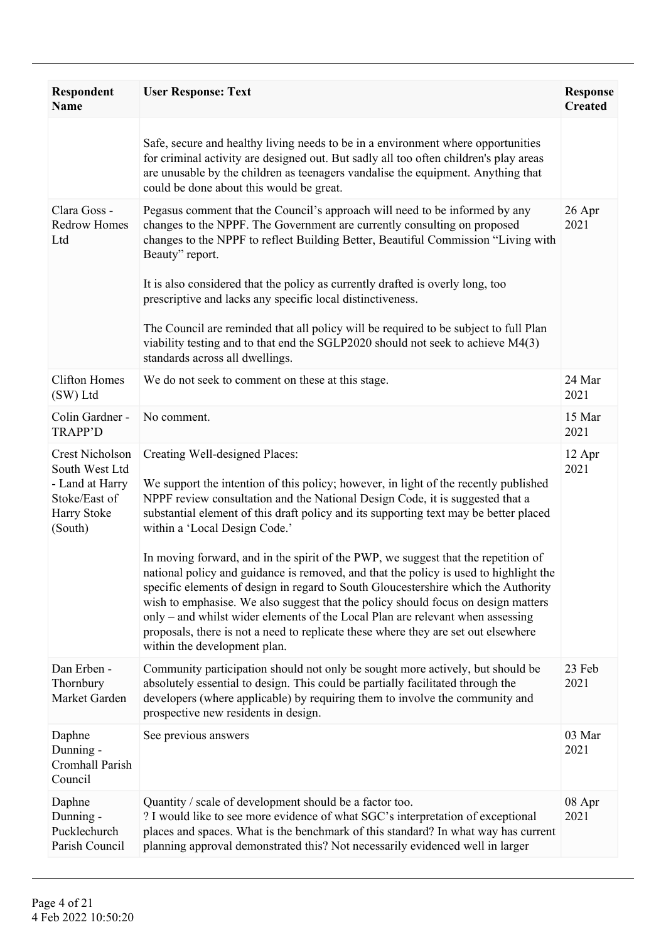| <b>Respondent</b><br><b>Name</b>                                                                | <b>User Response: Text</b>                                                                                                                                                                                                                                                                                                                                                                                                                                                                                                                                                                                                                                                                                                                                                    | <b>Response</b><br><b>Created</b> |
|-------------------------------------------------------------------------------------------------|-------------------------------------------------------------------------------------------------------------------------------------------------------------------------------------------------------------------------------------------------------------------------------------------------------------------------------------------------------------------------------------------------------------------------------------------------------------------------------------------------------------------------------------------------------------------------------------------------------------------------------------------------------------------------------------------------------------------------------------------------------------------------------|-----------------------------------|
|                                                                                                 | Safe, secure and healthy living needs to be in a environment where opportunities<br>for criminal activity are designed out. But sadly all too often children's play areas<br>are unusable by the children as teenagers vandalise the equipment. Anything that<br>could be done about this would be great.                                                                                                                                                                                                                                                                                                                                                                                                                                                                     |                                   |
| Clara Goss -<br><b>Redrow Homes</b><br>Ltd                                                      | Pegasus comment that the Council's approach will need to be informed by any<br>changes to the NPPF. The Government are currently consulting on proposed<br>changes to the NPPF to reflect Building Better, Beautiful Commission "Living with<br>Beauty" report.                                                                                                                                                                                                                                                                                                                                                                                                                                                                                                               | $26$ Apr<br>2021                  |
|                                                                                                 | It is also considered that the policy as currently drafted is overly long, too<br>prescriptive and lacks any specific local distinctiveness.                                                                                                                                                                                                                                                                                                                                                                                                                                                                                                                                                                                                                                  |                                   |
|                                                                                                 | The Council are reminded that all policy will be required to be subject to full Plan<br>viability testing and to that end the SGLP2020 should not seek to achieve M4(3)<br>standards across all dwellings.                                                                                                                                                                                                                                                                                                                                                                                                                                                                                                                                                                    |                                   |
| <b>Clifton Homes</b><br>(SW) Ltd                                                                | We do not seek to comment on these at this stage.                                                                                                                                                                                                                                                                                                                                                                                                                                                                                                                                                                                                                                                                                                                             | 24 Mar<br>2021                    |
| Colin Gardner -<br><b>TRAPP'D</b>                                                               | No comment.                                                                                                                                                                                                                                                                                                                                                                                                                                                                                                                                                                                                                                                                                                                                                                   | 15 Mar<br>2021                    |
| Crest Nicholson<br>South West Ltd<br>- Land at Harry<br>Stoke/East of<br>Harry Stoke<br>(South) | Creating Well-designed Places:<br>We support the intention of this policy; however, in light of the recently published<br>NPPF review consultation and the National Design Code, it is suggested that a<br>substantial element of this draft policy and its supporting text may be better placed<br>within a 'Local Design Code.'<br>In moving forward, and in the spirit of the PWP, we suggest that the repetition of<br>national policy and guidance is removed, and that the policy is used to highlight the<br>specific elements of design in regard to South Gloucestershire which the Authority<br>wish to emphasise. We also suggest that the policy should focus on design matters<br>only – and whilst wider elements of the Local Plan are relevant when assessing | 12 Apr<br>2021                    |
|                                                                                                 | proposals, there is not a need to replicate these where they are set out elsewhere<br>within the development plan.                                                                                                                                                                                                                                                                                                                                                                                                                                                                                                                                                                                                                                                            |                                   |
| Dan Erben -<br>Thornbury<br>Market Garden                                                       | Community participation should not only be sought more actively, but should be<br>absolutely essential to design. This could be partially facilitated through the<br>developers (where applicable) by requiring them to involve the community and<br>prospective new residents in design.                                                                                                                                                                                                                                                                                                                                                                                                                                                                                     | 23 Feb<br>2021                    |
| Daphne<br>Dunning -<br>Cromhall Parish<br>Council                                               | See previous answers                                                                                                                                                                                                                                                                                                                                                                                                                                                                                                                                                                                                                                                                                                                                                          | 03 Mar<br>2021                    |
| Daphne<br>Dunning -<br>Pucklechurch<br>Parish Council                                           | Quantity / scale of development should be a factor too.<br>? I would like to see more evidence of what SGC's interpretation of exceptional<br>places and spaces. What is the benchmark of this standard? In what way has current<br>planning approval demonstrated this? Not necessarily evidenced well in larger                                                                                                                                                                                                                                                                                                                                                                                                                                                             | 08 Apr<br>2021                    |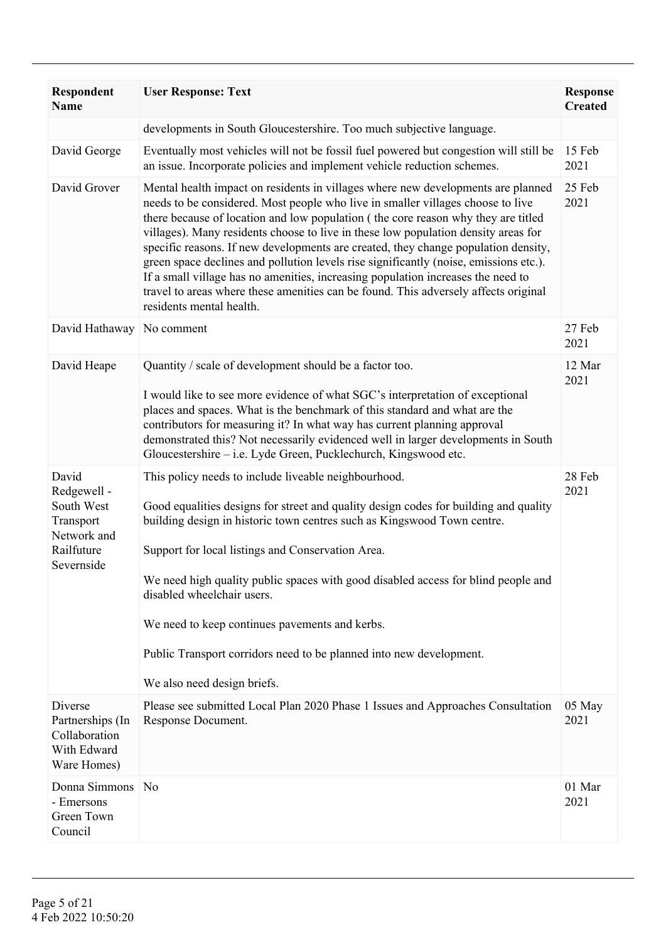| Respondent<br><b>Name</b>                                                                  | <b>User Response: Text</b>                                                                                                                                                                                                                                                                                                                                                                                                                                                                                                                                                                                                                                                                                                           | <b>Response</b><br><b>Created</b> |
|--------------------------------------------------------------------------------------------|--------------------------------------------------------------------------------------------------------------------------------------------------------------------------------------------------------------------------------------------------------------------------------------------------------------------------------------------------------------------------------------------------------------------------------------------------------------------------------------------------------------------------------------------------------------------------------------------------------------------------------------------------------------------------------------------------------------------------------------|-----------------------------------|
|                                                                                            | developments in South Gloucestershire. Too much subjective language.                                                                                                                                                                                                                                                                                                                                                                                                                                                                                                                                                                                                                                                                 |                                   |
| David George                                                                               | Eventually most vehicles will not be fossil fuel powered but congestion will still be<br>an issue. Incorporate policies and implement vehicle reduction schemes.                                                                                                                                                                                                                                                                                                                                                                                                                                                                                                                                                                     | 15 Feb<br>2021                    |
| David Grover                                                                               | Mental health impact on residents in villages where new developments are planned<br>needs to be considered. Most people who live in smaller villages choose to live<br>there because of location and low population (the core reason why they are titled<br>villages). Many residents choose to live in these low population density areas for<br>specific reasons. If new developments are created, they change population density,<br>green space declines and pollution levels rise significantly (noise, emissions etc.).<br>If a small village has no amenities, increasing population increases the need to<br>travel to areas where these amenities can be found. This adversely affects original<br>residents mental health. | 25 Feb<br>2021                    |
| David Hathaway                                                                             | No comment                                                                                                                                                                                                                                                                                                                                                                                                                                                                                                                                                                                                                                                                                                                           | 27 Feb<br>2021                    |
| David Heape                                                                                | Quantity / scale of development should be a factor too.<br>I would like to see more evidence of what SGC's interpretation of exceptional<br>places and spaces. What is the benchmark of this standard and what are the<br>contributors for measuring it? In what way has current planning approval<br>demonstrated this? Not necessarily evidenced well in larger developments in South<br>Gloucestershire – i.e. Lyde Green, Pucklechurch, Kingswood etc.                                                                                                                                                                                                                                                                           | 12 Mar<br>2021                    |
| David<br>Redgewell -<br>South West<br>Transport<br>Network and<br>Railfuture<br>Severnside | This policy needs to include liveable neighbourhood.<br>Good equalities designs for street and quality design codes for building and quality<br>building design in historic town centres such as Kingswood Town centre.<br>Support for local listings and Conservation Area.<br>We need high quality public spaces with good disabled access for blind people and<br>disabled wheelchair users.<br>We need to keep continues pavements and kerbs.<br>Public Transport corridors need to be planned into new development.<br>We also need design briefs.                                                                                                                                                                              | 28 Feb<br>2021                    |
| Diverse<br>Partnerships (In<br>Collaboration<br>With Edward<br>Ware Homes)                 | Please see submitted Local Plan 2020 Phase 1 Issues and Approaches Consultation<br>Response Document.                                                                                                                                                                                                                                                                                                                                                                                                                                                                                                                                                                                                                                | 05 May<br>2021                    |
| Donna Simmons<br>- Emersons<br>Green Town<br>Council                                       | N <sub>0</sub>                                                                                                                                                                                                                                                                                                                                                                                                                                                                                                                                                                                                                                                                                                                       | 01 Mar<br>2021                    |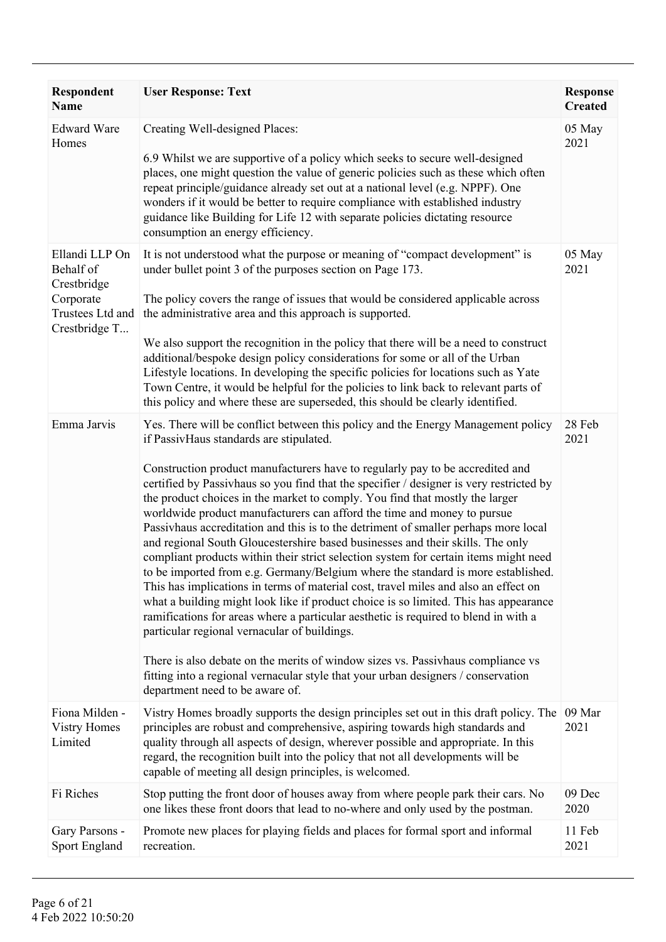| Respondent<br><b>Name</b>                                                                    | <b>User Response: Text</b>                                                                                                                                                                                                                                                                                                                                                                                                                                                                                                                                                                                                                                                                                                                                                                                                                                                                                                                                                                                                                                                                                                                                                                                                                                                                                                                               | <b>Response</b><br><b>Created</b> |
|----------------------------------------------------------------------------------------------|----------------------------------------------------------------------------------------------------------------------------------------------------------------------------------------------------------------------------------------------------------------------------------------------------------------------------------------------------------------------------------------------------------------------------------------------------------------------------------------------------------------------------------------------------------------------------------------------------------------------------------------------------------------------------------------------------------------------------------------------------------------------------------------------------------------------------------------------------------------------------------------------------------------------------------------------------------------------------------------------------------------------------------------------------------------------------------------------------------------------------------------------------------------------------------------------------------------------------------------------------------------------------------------------------------------------------------------------------------|-----------------------------------|
| <b>Edward Ware</b><br>Homes                                                                  | Creating Well-designed Places:<br>6.9 Whilst we are supportive of a policy which seeks to secure well-designed<br>places, one might question the value of generic policies such as these which often<br>repeat principle/guidance already set out at a national level (e.g. NPPF). One<br>wonders if it would be better to require compliance with established industry<br>guidance like Building for Life 12 with separate policies dictating resource<br>consumption an energy efficiency.                                                                                                                                                                                                                                                                                                                                                                                                                                                                                                                                                                                                                                                                                                                                                                                                                                                             | 05 May<br>2021                    |
| Ellandi LLP On<br>Behalf of<br>Crestbridge<br>Corporate<br>Trustees Ltd and<br>Crestbridge T | It is not understood what the purpose or meaning of "compact development" is<br>under bullet point 3 of the purposes section on Page 173.<br>The policy covers the range of issues that would be considered applicable across<br>the administrative area and this approach is supported.<br>We also support the recognition in the policy that there will be a need to construct<br>additional/bespoke design policy considerations for some or all of the Urban<br>Lifestyle locations. In developing the specific policies for locations such as Yate<br>Town Centre, it would be helpful for the policies to link back to relevant parts of<br>this policy and where these are superseded, this should be clearly identified.                                                                                                                                                                                                                                                                                                                                                                                                                                                                                                                                                                                                                         | 05 May<br>2021                    |
| Emma Jarvis                                                                                  | Yes. There will be conflict between this policy and the Energy Management policy<br>if PassivHaus standards are stipulated.<br>Construction product manufacturers have to regularly pay to be accredited and<br>certified by Passivhaus so you find that the specifier / designer is very restricted by<br>the product choices in the market to comply. You find that mostly the larger<br>worldwide product manufacturers can afford the time and money to pursue<br>Passivhaus accreditation and this is to the detriment of smaller perhaps more local<br>and regional South Gloucestershire based businesses and their skills. The only<br>compliant products within their strict selection system for certain items might need<br>to be imported from e.g. Germany/Belgium where the standard is more established.<br>This has implications in terms of material cost, travel miles and also an effect on<br>what a building might look like if product choice is so limited. This has appearance<br>ramifications for areas where a particular aesthetic is required to blend in with a<br>particular regional vernacular of buildings.<br>There is also debate on the merits of window sizes vs. Passivhaus compliance vs<br>fitting into a regional vernacular style that your urban designers / conservation<br>department need to be aware of. | 28 Feb<br>2021                    |
| Fiona Milden -<br><b>Vistry Homes</b><br>Limited                                             | Vistry Homes broadly supports the design principles set out in this draft policy. The<br>principles are robust and comprehensive, aspiring towards high standards and<br>quality through all aspects of design, wherever possible and appropriate. In this<br>regard, the recognition built into the policy that not all developments will be<br>capable of meeting all design principles, is welcomed.                                                                                                                                                                                                                                                                                                                                                                                                                                                                                                                                                                                                                                                                                                                                                                                                                                                                                                                                                  | 09 Mar<br>2021                    |
| Fi Riches                                                                                    | Stop putting the front door of houses away from where people park their cars. No<br>one likes these front doors that lead to no-where and only used by the postman.                                                                                                                                                                                                                                                                                                                                                                                                                                                                                                                                                                                                                                                                                                                                                                                                                                                                                                                                                                                                                                                                                                                                                                                      | 09 Dec<br>2020                    |
| Gary Parsons -<br><b>Sport England</b>                                                       | Promote new places for playing fields and places for formal sport and informal<br>recreation.                                                                                                                                                                                                                                                                                                                                                                                                                                                                                                                                                                                                                                                                                                                                                                                                                                                                                                                                                                                                                                                                                                                                                                                                                                                            | 11 Feb<br>2021                    |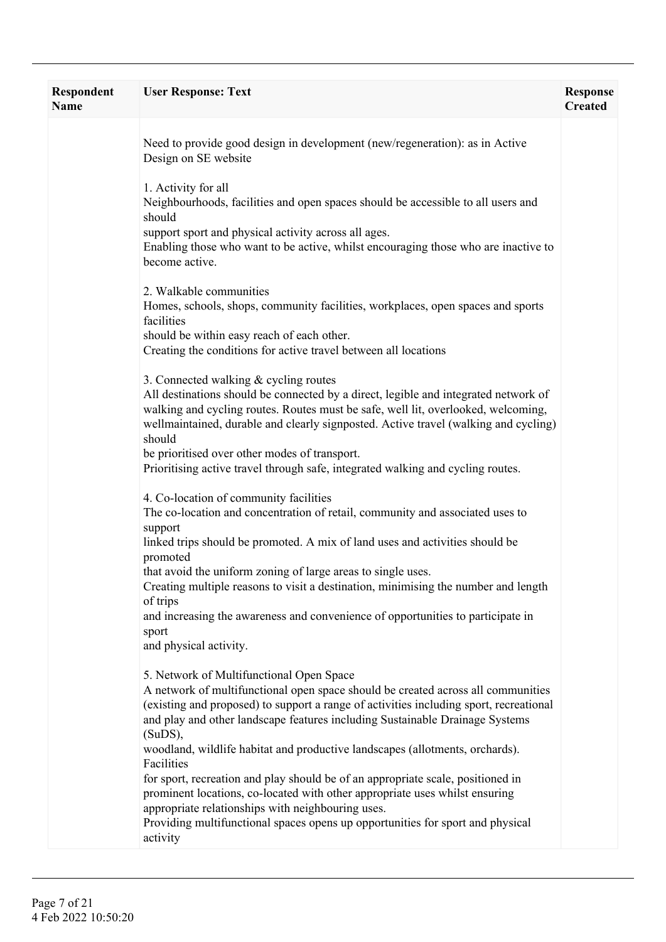| Respondent<br>Name | <b>User Response: Text</b>                                                                                                                                                                                                                                                                                                                                                                                                                                                                                                                                                                                                                                                                                                              | <b>Response</b><br><b>Created</b> |
|--------------------|-----------------------------------------------------------------------------------------------------------------------------------------------------------------------------------------------------------------------------------------------------------------------------------------------------------------------------------------------------------------------------------------------------------------------------------------------------------------------------------------------------------------------------------------------------------------------------------------------------------------------------------------------------------------------------------------------------------------------------------------|-----------------------------------|
|                    | Need to provide good design in development (new/regeneration): as in Active<br>Design on SE website                                                                                                                                                                                                                                                                                                                                                                                                                                                                                                                                                                                                                                     |                                   |
|                    | 1. Activity for all<br>Neighbourhoods, facilities and open spaces should be accessible to all users and<br>should<br>support sport and physical activity across all ages.<br>Enabling those who want to be active, whilst encouraging those who are inactive to<br>become active.                                                                                                                                                                                                                                                                                                                                                                                                                                                       |                                   |
|                    | 2. Walkable communities<br>Homes, schools, shops, community facilities, workplaces, open spaces and sports<br>facilities<br>should be within easy reach of each other.<br>Creating the conditions for active travel between all locations                                                                                                                                                                                                                                                                                                                                                                                                                                                                                               |                                   |
|                    | 3. Connected walking & cycling routes<br>All destinations should be connected by a direct, legible and integrated network of<br>walking and cycling routes. Routes must be safe, well lit, overlooked, welcoming,<br>wellmaintained, durable and clearly signposted. Active travel (walking and cycling)<br>should<br>be prioritised over other modes of transport.<br>Prioritising active travel through safe, integrated walking and cycling routes.                                                                                                                                                                                                                                                                                  |                                   |
|                    | 4. Co-location of community facilities<br>The co-location and concentration of retail, community and associated uses to<br>support<br>linked trips should be promoted. A mix of land uses and activities should be<br>promoted<br>that avoid the uniform zoning of large areas to single uses.<br>Creating multiple reasons to visit a destination, minimising the number and length<br>of trips<br>and increasing the awareness and convenience of opportunities to participate in<br>sport<br>and physical activity.                                                                                                                                                                                                                  |                                   |
|                    | 5. Network of Multifunctional Open Space<br>A network of multifunctional open space should be created across all communities<br>(existing and proposed) to support a range of activities including sport, recreational<br>and play and other landscape features including Sustainable Drainage Systems<br>$(SuDS)$ ,<br>woodland, wildlife habitat and productive landscapes (allotments, orchards).<br>Facilities<br>for sport, recreation and play should be of an appropriate scale, positioned in<br>prominent locations, co-located with other appropriate uses whilst ensuring<br>appropriate relationships with neighbouring uses.<br>Providing multifunctional spaces opens up opportunities for sport and physical<br>activity |                                   |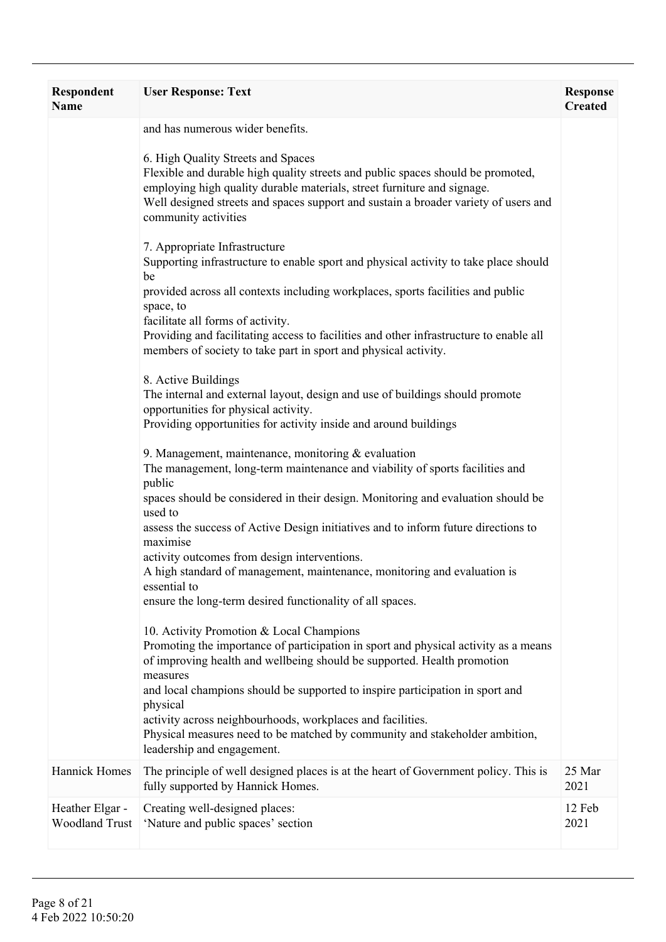| <b>Respondent</b><br><b>Name</b>         | <b>User Response: Text</b>                                                                                                                                                                                                                                                                                      | <b>Response</b><br><b>Created</b> |
|------------------------------------------|-----------------------------------------------------------------------------------------------------------------------------------------------------------------------------------------------------------------------------------------------------------------------------------------------------------------|-----------------------------------|
|                                          | and has numerous wider benefits.                                                                                                                                                                                                                                                                                |                                   |
|                                          | 6. High Quality Streets and Spaces<br>Flexible and durable high quality streets and public spaces should be promoted,<br>employing high quality durable materials, street furniture and signage.<br>Well designed streets and spaces support and sustain a broader variety of users and<br>community activities |                                   |
|                                          | 7. Appropriate Infrastructure<br>Supporting infrastructure to enable sport and physical activity to take place should<br>be<br>provided across all contexts including workplaces, sports facilities and public<br>space, to                                                                                     |                                   |
|                                          | facilitate all forms of activity.<br>Providing and facilitating access to facilities and other infrastructure to enable all<br>members of society to take part in sport and physical activity.                                                                                                                  |                                   |
|                                          | 8. Active Buildings<br>The internal and external layout, design and use of buildings should promote<br>opportunities for physical activity.<br>Providing opportunities for activity inside and around buildings                                                                                                 |                                   |
|                                          | 9. Management, maintenance, monitoring $&$ evaluation<br>The management, long-term maintenance and viability of sports facilities and<br>public<br>spaces should be considered in their design. Monitoring and evaluation should be                                                                             |                                   |
|                                          | used to<br>assess the success of Active Design initiatives and to inform future directions to<br>maximise                                                                                                                                                                                                       |                                   |
|                                          | activity outcomes from design interventions.<br>A high standard of management, maintenance, monitoring and evaluation is<br>essential to                                                                                                                                                                        |                                   |
|                                          | ensure the long-term desired functionality of all spaces.                                                                                                                                                                                                                                                       |                                   |
|                                          | 10. Activity Promotion & Local Champions<br>Promoting the importance of participation in sport and physical activity as a means<br>of improving health and wellbeing should be supported. Health promotion<br>measures                                                                                          |                                   |
|                                          | and local champions should be supported to inspire participation in sport and<br>physical<br>activity across neighbourhoods, workplaces and facilities.<br>Physical measures need to be matched by community and stakeholder ambition,<br>leadership and engagement.                                            |                                   |
| <b>Hannick Homes</b>                     | The principle of well designed places is at the heart of Government policy. This is<br>fully supported by Hannick Homes.                                                                                                                                                                                        | 25 Mar<br>2021                    |
| Heather Elgar -<br><b>Woodland Trust</b> | Creating well-designed places:<br>'Nature and public spaces' section                                                                                                                                                                                                                                            | 12 Feb<br>2021                    |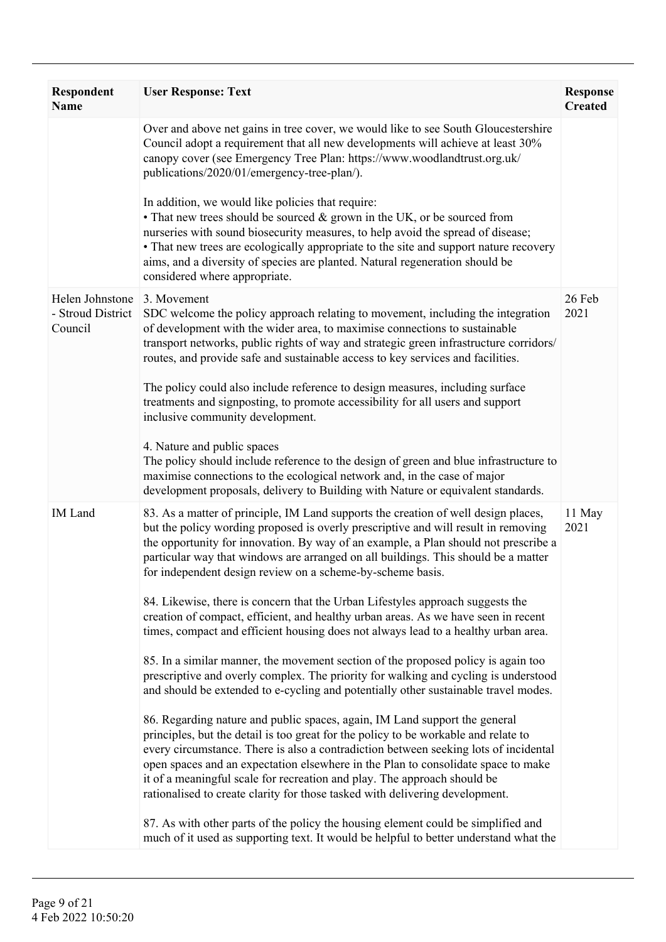| <b>Respondent</b><br>Name                       | <b>User Response: Text</b>                                                                                                                                                                                                                                                                                                                                                                                                                                                                                 | <b>Response</b><br><b>Created</b> |
|-------------------------------------------------|------------------------------------------------------------------------------------------------------------------------------------------------------------------------------------------------------------------------------------------------------------------------------------------------------------------------------------------------------------------------------------------------------------------------------------------------------------------------------------------------------------|-----------------------------------|
|                                                 | Over and above net gains in tree cover, we would like to see South Gloucestershire<br>Council adopt a requirement that all new developments will achieve at least 30%<br>canopy cover (see Emergency Tree Plan: https://www.woodlandtrust.org.uk/<br>publications/2020/01/emergency-tree-plan/).                                                                                                                                                                                                           |                                   |
|                                                 | In addition, we would like policies that require:<br>• That new trees should be sourced & grown in the UK, or be sourced from<br>nurseries with sound biosecurity measures, to help avoid the spread of disease;<br>• That new trees are ecologically appropriate to the site and support nature recovery<br>aims, and a diversity of species are planted. Natural regeneration should be<br>considered where appropriate.                                                                                 |                                   |
| Helen Johnstone<br>- Stroud District<br>Council | 3. Movement<br>SDC welcome the policy approach relating to movement, including the integration<br>of development with the wider area, to maximise connections to sustainable<br>transport networks, public rights of way and strategic green infrastructure corridors/<br>routes, and provide safe and sustainable access to key services and facilities.                                                                                                                                                  | 26 Feb<br>2021                    |
|                                                 | The policy could also include reference to design measures, including surface<br>treatments and signposting, to promote accessibility for all users and support<br>inclusive community development.                                                                                                                                                                                                                                                                                                        |                                   |
|                                                 | 4. Nature and public spaces<br>The policy should include reference to the design of green and blue infrastructure to<br>maximise connections to the ecological network and, in the case of major<br>development proposals, delivery to Building with Nature or equivalent standards.                                                                                                                                                                                                                       |                                   |
| <b>IM</b> Land                                  | 83. As a matter of principle, IM Land supports the creation of well design places,<br>but the policy wording proposed is overly prescriptive and will result in removing<br>the opportunity for innovation. By way of an example, a Plan should not prescribe a<br>particular way that windows are arranged on all buildings. This should be a matter<br>for independent design review on a scheme-by-scheme basis.                                                                                        | 11 May<br>2021                    |
|                                                 | 84. Likewise, there is concern that the Urban Lifestyles approach suggests the<br>creation of compact, efficient, and healthy urban areas. As we have seen in recent<br>times, compact and efficient housing does not always lead to a healthy urban area.                                                                                                                                                                                                                                                 |                                   |
|                                                 | 85. In a similar manner, the movement section of the proposed policy is again too<br>prescriptive and overly complex. The priority for walking and cycling is understood<br>and should be extended to e-cycling and potentially other sustainable travel modes.                                                                                                                                                                                                                                            |                                   |
|                                                 | 86. Regarding nature and public spaces, again, IM Land support the general<br>principles, but the detail is too great for the policy to be workable and relate to<br>every circumstance. There is also a contradiction between seeking lots of incidental<br>open spaces and an expectation elsewhere in the Plan to consolidate space to make<br>it of a meaningful scale for recreation and play. The approach should be<br>rationalised to create clarity for those tasked with delivering development. |                                   |
|                                                 | 87. As with other parts of the policy the housing element could be simplified and<br>much of it used as supporting text. It would be helpful to better understand what the                                                                                                                                                                                                                                                                                                                                 |                                   |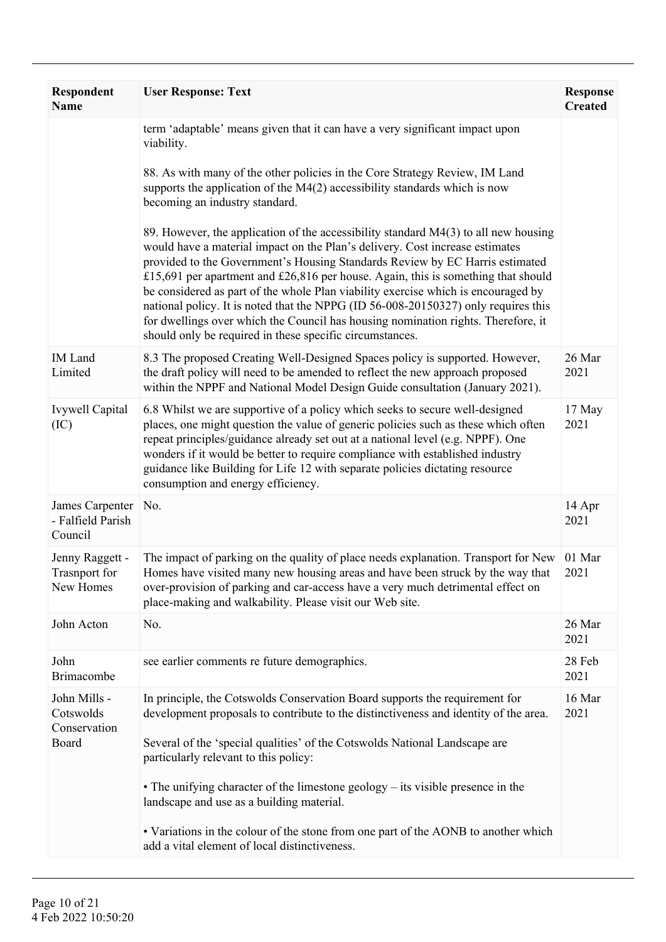| <b>Respondent</b><br>Name                            | <b>User Response: Text</b>                                                                                                                                                                                                                                                                                                                                                                                                                                                                                                                                                                                                                                             | <b>Response</b><br><b>Created</b> |
|------------------------------------------------------|------------------------------------------------------------------------------------------------------------------------------------------------------------------------------------------------------------------------------------------------------------------------------------------------------------------------------------------------------------------------------------------------------------------------------------------------------------------------------------------------------------------------------------------------------------------------------------------------------------------------------------------------------------------------|-----------------------------------|
|                                                      | term 'adaptable' means given that it can have a very significant impact upon<br>viability.                                                                                                                                                                                                                                                                                                                                                                                                                                                                                                                                                                             |                                   |
|                                                      | 88. As with many of the other policies in the Core Strategy Review, IM Land<br>supports the application of the M4(2) accessibility standards which is now<br>becoming an industry standard.                                                                                                                                                                                                                                                                                                                                                                                                                                                                            |                                   |
|                                                      | 89. However, the application of the accessibility standard $M4(3)$ to all new housing<br>would have a material impact on the Plan's delivery. Cost increase estimates<br>provided to the Government's Housing Standards Review by EC Harris estimated<br>£15,691 per apartment and £26,816 per house. Again, this is something that should<br>be considered as part of the whole Plan viability exercise which is encouraged by<br>national policy. It is noted that the NPPG (ID 56-008-20150327) only requires this<br>for dwellings over which the Council has housing nomination rights. Therefore, it<br>should only be required in these specific circumstances. |                                   |
| <b>IM</b> Land<br>Limited                            | 8.3 The proposed Creating Well-Designed Spaces policy is supported. However,<br>the draft policy will need to be amended to reflect the new approach proposed<br>within the NPPF and National Model Design Guide consultation (January 2021).                                                                                                                                                                                                                                                                                                                                                                                                                          | 26 Mar<br>2021                    |
| <b>Ivywell Capital</b><br>(IC)                       | 6.8 Whilst we are supportive of a policy which seeks to secure well-designed<br>places, one might question the value of generic policies such as these which often<br>repeat principles/guidance already set out at a national level (e.g. NPPF). One<br>wonders if it would be better to require compliance with established industry<br>guidance like Building for Life 12 with separate policies dictating resource<br>consumption and energy efficiency.                                                                                                                                                                                                           | 17 May<br>2021                    |
| James Carpenter<br>- Falfield Parish<br>Council      | No.                                                                                                                                                                                                                                                                                                                                                                                                                                                                                                                                                                                                                                                                    | 14 Apr<br>2021                    |
| Jenny Raggett -<br><b>Trasnport</b> for<br>New Homes | The impact of parking on the quality of place needs explanation. Transport for New<br>Homes have visited many new housing areas and have been struck by the way that<br>over-provision of parking and car-access have a very much detrimental effect on<br>place-making and walkability. Please visit our Web site.                                                                                                                                                                                                                                                                                                                                                    | 01 Mar<br>2021                    |
| John Acton                                           | No.                                                                                                                                                                                                                                                                                                                                                                                                                                                                                                                                                                                                                                                                    | 26 Mar<br>2021                    |
| John<br><b>Brimacombe</b>                            | see earlier comments re future demographics.                                                                                                                                                                                                                                                                                                                                                                                                                                                                                                                                                                                                                           | 28 Feb<br>2021                    |
| John Mills -<br>Cotswolds<br>Conservation<br>Board   | In principle, the Cotswolds Conservation Board supports the requirement for<br>development proposals to contribute to the distinctiveness and identity of the area.<br>Several of the 'special qualities' of the Cotswolds National Landscape are<br>particularly relevant to this policy:                                                                                                                                                                                                                                                                                                                                                                             | 16 Mar<br>2021                    |
|                                                      | • The unifying character of the limestone geology – its visible presence in the<br>landscape and use as a building material.                                                                                                                                                                                                                                                                                                                                                                                                                                                                                                                                           |                                   |
|                                                      | • Variations in the colour of the stone from one part of the AONB to another which<br>add a vital element of local distinctiveness.                                                                                                                                                                                                                                                                                                                                                                                                                                                                                                                                    |                                   |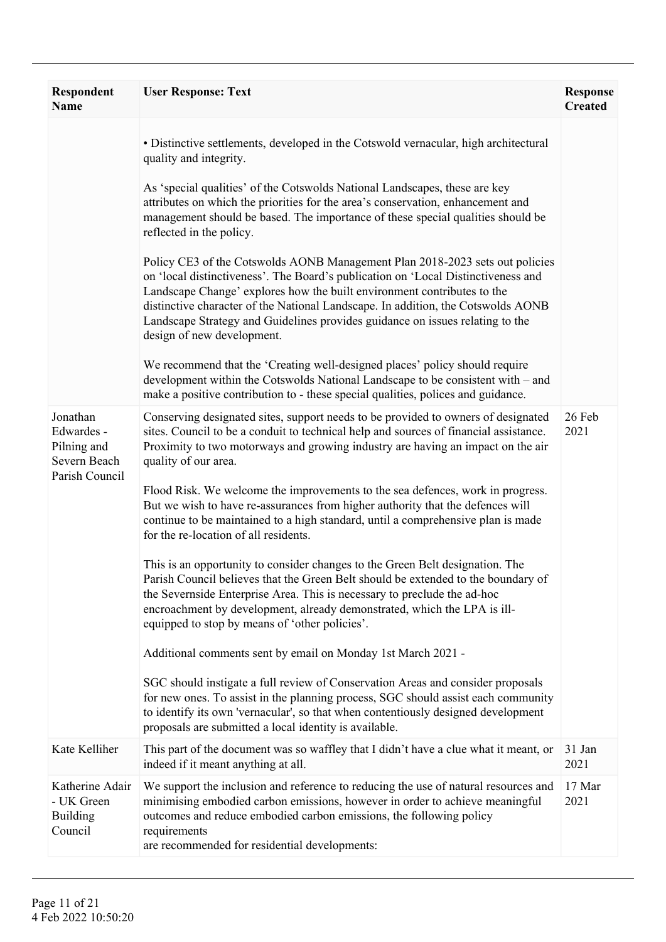| Respondent<br>Name                                                      | <b>User Response: Text</b>                                                                                                                                                                                                                                                                                                                                                                                                                      | <b>Response</b><br><b>Created</b> |
|-------------------------------------------------------------------------|-------------------------------------------------------------------------------------------------------------------------------------------------------------------------------------------------------------------------------------------------------------------------------------------------------------------------------------------------------------------------------------------------------------------------------------------------|-----------------------------------|
|                                                                         | • Distinctive settlements, developed in the Cotswold vernacular, high architectural<br>quality and integrity.                                                                                                                                                                                                                                                                                                                                   |                                   |
|                                                                         | As 'special qualities' of the Cotswolds National Landscapes, these are key<br>attributes on which the priorities for the area's conservation, enhancement and<br>management should be based. The importance of these special qualities should be<br>reflected in the policy.                                                                                                                                                                    |                                   |
|                                                                         | Policy CE3 of the Cotswolds AONB Management Plan 2018-2023 sets out policies<br>on 'local distinctiveness'. The Board's publication on 'Local Distinctiveness and<br>Landscape Change' explores how the built environment contributes to the<br>distinctive character of the National Landscape. In addition, the Cotswolds AONB<br>Landscape Strategy and Guidelines provides guidance on issues relating to the<br>design of new development. |                                   |
|                                                                         | We recommend that the 'Creating well-designed places' policy should require<br>development within the Cotswolds National Landscape to be consistent with – and<br>make a positive contribution to - these special qualities, polices and guidance.                                                                                                                                                                                              |                                   |
| Jonathan<br>Edwardes -<br>Pilning and<br>Severn Beach<br>Parish Council | Conserving designated sites, support needs to be provided to owners of designated<br>sites. Council to be a conduit to technical help and sources of financial assistance.<br>Proximity to two motorways and growing industry are having an impact on the air<br>quality of our area.                                                                                                                                                           | 26 Feb<br>2021                    |
|                                                                         | Flood Risk. We welcome the improvements to the sea defences, work in progress.<br>But we wish to have re-assurances from higher authority that the defences will<br>continue to be maintained to a high standard, until a comprehensive plan is made<br>for the re-location of all residents.                                                                                                                                                   |                                   |
|                                                                         | This is an opportunity to consider changes to the Green Belt designation. The<br>Parish Council believes that the Green Belt should be extended to the boundary of<br>the Severnside Enterprise Area. This is necessary to preclude the ad-hoc<br>encroachment by development, already demonstrated, which the LPA is ill-<br>equipped to stop by means of 'other policies'.                                                                    |                                   |
|                                                                         | Additional comments sent by email on Monday 1st March 2021 -                                                                                                                                                                                                                                                                                                                                                                                    |                                   |
|                                                                         | SGC should instigate a full review of Conservation Areas and consider proposals<br>for new ones. To assist in the planning process, SGC should assist each community<br>to identify its own 'vernacular', so that when contentiously designed development<br>proposals are submitted a local identity is available.                                                                                                                             |                                   |
| Kate Kelliher                                                           | This part of the document was so waffley that I didn't have a clue what it meant, or<br>indeed if it meant anything at all.                                                                                                                                                                                                                                                                                                                     | 31 Jan<br>2021                    |
| Katherine Adair<br>- UK Green<br><b>Building</b><br>Council             | We support the inclusion and reference to reducing the use of natural resources and<br>minimising embodied carbon emissions, however in order to achieve meaningful<br>outcomes and reduce embodied carbon emissions, the following policy<br>requirements<br>are recommended for residential developments:                                                                                                                                     | 17 Mar<br>2021                    |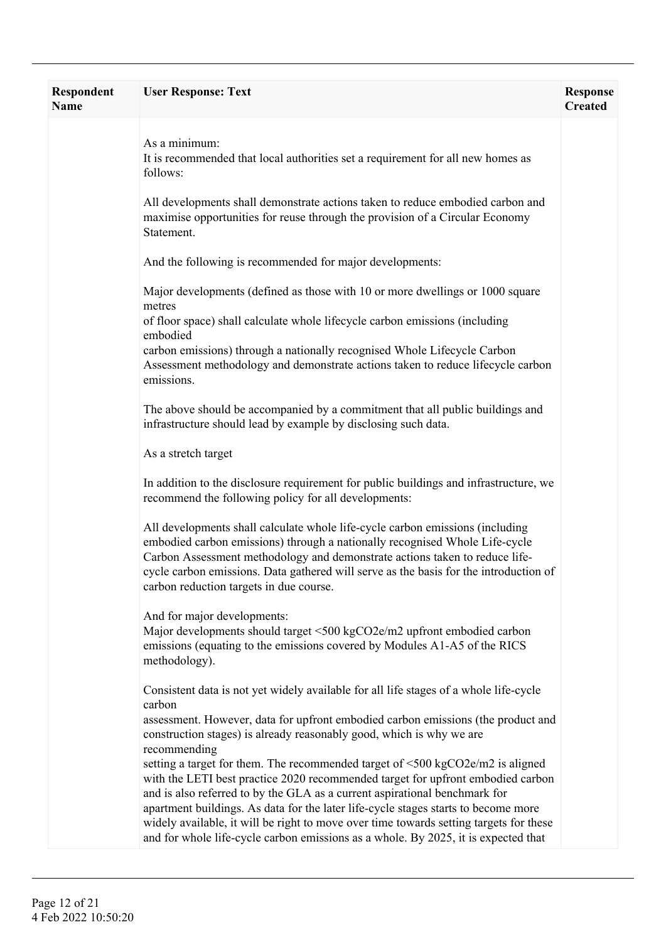| <b>Respondent</b><br><b>Name</b> | <b>User Response: Text</b>                                                                                                                                                                                                                                                                                                                                                                                                                                                                                                                                                                                                  | <b>Response</b><br><b>Created</b> |
|----------------------------------|-----------------------------------------------------------------------------------------------------------------------------------------------------------------------------------------------------------------------------------------------------------------------------------------------------------------------------------------------------------------------------------------------------------------------------------------------------------------------------------------------------------------------------------------------------------------------------------------------------------------------------|-----------------------------------|
|                                  | As a minimum:<br>It is recommended that local authorities set a requirement for all new homes as<br>follows:                                                                                                                                                                                                                                                                                                                                                                                                                                                                                                                |                                   |
|                                  | All developments shall demonstrate actions taken to reduce embodied carbon and<br>maximise opportunities for reuse through the provision of a Circular Economy<br>Statement.                                                                                                                                                                                                                                                                                                                                                                                                                                                |                                   |
|                                  | And the following is recommended for major developments:                                                                                                                                                                                                                                                                                                                                                                                                                                                                                                                                                                    |                                   |
|                                  | Major developments (defined as those with 10 or more dwellings or 1000 square<br>metres                                                                                                                                                                                                                                                                                                                                                                                                                                                                                                                                     |                                   |
|                                  | of floor space) shall calculate whole lifecycle carbon emissions (including<br>embodied                                                                                                                                                                                                                                                                                                                                                                                                                                                                                                                                     |                                   |
|                                  | carbon emissions) through a nationally recognised Whole Lifecycle Carbon<br>Assessment methodology and demonstrate actions taken to reduce lifecycle carbon<br>emissions.                                                                                                                                                                                                                                                                                                                                                                                                                                                   |                                   |
|                                  | The above should be accompanied by a commitment that all public buildings and<br>infrastructure should lead by example by disclosing such data.                                                                                                                                                                                                                                                                                                                                                                                                                                                                             |                                   |
|                                  | As a stretch target                                                                                                                                                                                                                                                                                                                                                                                                                                                                                                                                                                                                         |                                   |
|                                  | In addition to the disclosure requirement for public buildings and infrastructure, we<br>recommend the following policy for all developments:                                                                                                                                                                                                                                                                                                                                                                                                                                                                               |                                   |
|                                  | All developments shall calculate whole life-cycle carbon emissions (including<br>embodied carbon emissions) through a nationally recognised Whole Life-cycle<br>Carbon Assessment methodology and demonstrate actions taken to reduce life-<br>cycle carbon emissions. Data gathered will serve as the basis for the introduction of<br>carbon reduction targets in due course.                                                                                                                                                                                                                                             |                                   |
|                                  | And for major developments:<br>Major developments should target <500 kgCO2e/m2 upfront embodied carbon<br>emissions (equating to the emissions covered by Modules A1-A5 of the RICS<br>methodology).                                                                                                                                                                                                                                                                                                                                                                                                                        |                                   |
|                                  | Consistent data is not yet widely available for all life stages of a whole life-cycle<br>carbon<br>assessment. However, data for upfront embodied carbon emissions (the product and                                                                                                                                                                                                                                                                                                                                                                                                                                         |                                   |
|                                  | construction stages) is already reasonably good, which is why we are<br>recommending<br>setting a target for them. The recommended target of $\leq 500 \text{ kgCO2e/m2}$ is aligned<br>with the LETI best practice 2020 recommended target for upfront embodied carbon<br>and is also referred to by the GLA as a current aspirational benchmark for<br>apartment buildings. As data for the later life-cycle stages starts to become more<br>widely available, it will be right to move over time towards setting targets for these<br>and for whole life-cycle carbon emissions as a whole. By 2025, it is expected that |                                   |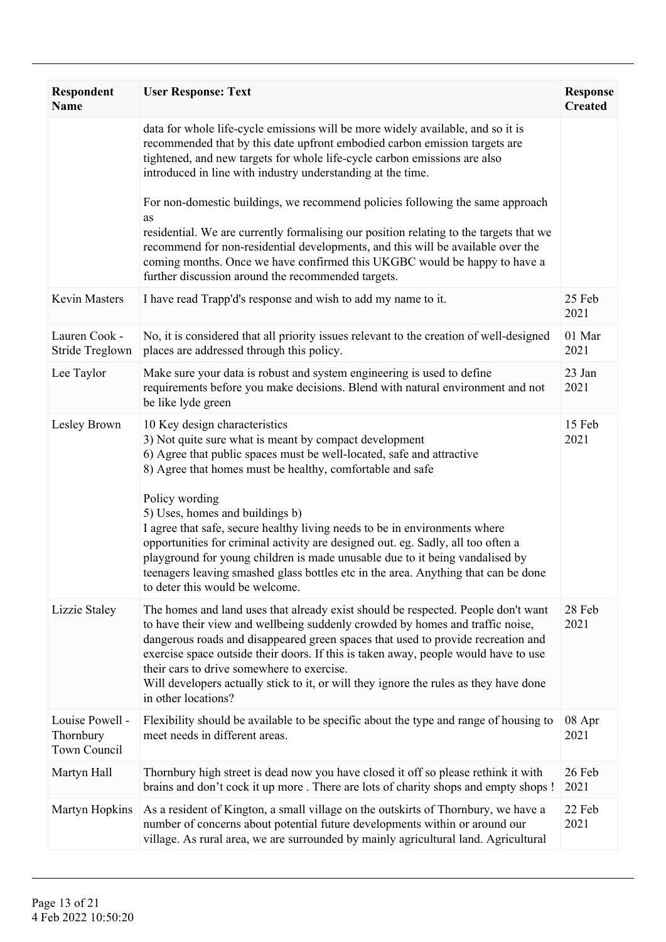| <b>Respondent</b><br><b>Name</b>             | <b>User Response: Text</b>                                                                                                                                                                                                                                                                                                                                                                                                                                                                                  | <b>Response</b><br><b>Created</b> |
|----------------------------------------------|-------------------------------------------------------------------------------------------------------------------------------------------------------------------------------------------------------------------------------------------------------------------------------------------------------------------------------------------------------------------------------------------------------------------------------------------------------------------------------------------------------------|-----------------------------------|
|                                              | data for whole life-cycle emissions will be more widely available, and so it is<br>recommended that by this date upfront embodied carbon emission targets are<br>tightened, and new targets for whole life-cycle carbon emissions are also<br>introduced in line with industry understanding at the time.                                                                                                                                                                                                   |                                   |
|                                              | For non-domestic buildings, we recommend policies following the same approach<br>as<br>residential. We are currently formalising our position relating to the targets that we<br>recommend for non-residential developments, and this will be available over the                                                                                                                                                                                                                                            |                                   |
|                                              | coming months. Once we have confirmed this UKGBC would be happy to have a<br>further discussion around the recommended targets.                                                                                                                                                                                                                                                                                                                                                                             |                                   |
| <b>Kevin Masters</b>                         | I have read Trapp'd's response and wish to add my name to it.                                                                                                                                                                                                                                                                                                                                                                                                                                               | 25 Feb<br>2021                    |
| Lauren Cook -<br>Stride Treglown             | No, it is considered that all priority issues relevant to the creation of well-designed<br>places are addressed through this policy.                                                                                                                                                                                                                                                                                                                                                                        | 01 Mar<br>2021                    |
| Lee Taylor                                   | Make sure your data is robust and system engineering is used to define<br>requirements before you make decisions. Blend with natural environment and not<br>be like lyde green                                                                                                                                                                                                                                                                                                                              | 23 Jan<br>2021                    |
| Lesley Brown                                 | 10 Key design characteristics<br>3) Not quite sure what is meant by compact development<br>6) Agree that public spaces must be well-located, safe and attractive<br>8) Agree that homes must be healthy, comfortable and safe                                                                                                                                                                                                                                                                               | 15 Feb<br>2021                    |
|                                              | Policy wording<br>5) Uses, homes and buildings b)<br>I agree that safe, secure healthy living needs to be in environments where<br>opportunities for criminal activity are designed out. eg. Sadly, all too often a<br>playground for young children is made unusable due to it being vandalised by<br>teenagers leaving smashed glass bottles etc in the area. Anything that can be done<br>to deter this would be welcome.                                                                                |                                   |
| Lizzie Staley                                | The homes and land uses that already exist should be respected. People don't want<br>to have their view and wellbeing suddenly crowded by homes and traffic noise,<br>dangerous roads and disappeared green spaces that used to provide recreation and<br>exercise space outside their doors. If this is taken away, people would have to use<br>their cars to drive somewhere to exercise.<br>Will developers actually stick to it, or will they ignore the rules as they have done<br>in other locations? | 28 Feb<br>2021                    |
| Louise Powell -<br>Thornbury<br>Town Council | Flexibility should be available to be specific about the type and range of housing to<br>meet needs in different areas.                                                                                                                                                                                                                                                                                                                                                                                     | 08 Apr<br>2021                    |
| Martyn Hall                                  | Thornbury high street is dead now you have closed it off so please rethink it with<br>brains and don't cock it up more . There are lots of charity shops and empty shops !                                                                                                                                                                                                                                                                                                                                  | 26 Feb<br>2021                    |
| Martyn Hopkins                               | As a resident of Kington, a small village on the outskirts of Thornbury, we have a<br>number of concerns about potential future developments within or around our<br>village. As rural area, we are surrounded by mainly agricultural land. Agricultural                                                                                                                                                                                                                                                    | 22 Feb<br>2021                    |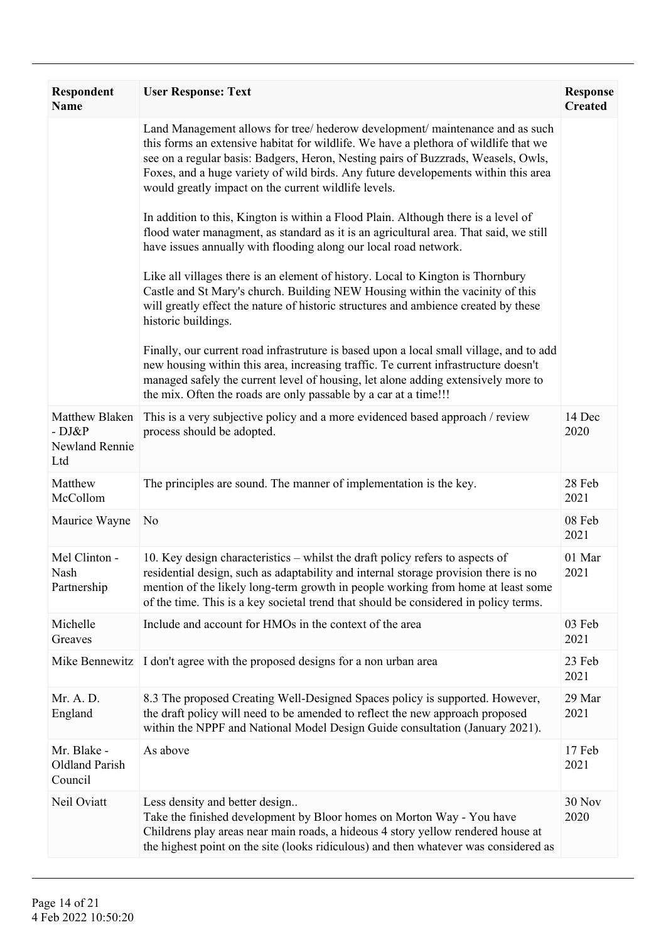| Respondent<br><b>Name</b>                         | <b>User Response: Text</b>                                                                                                                                                                                                                                                                                                                                                                               | <b>Response</b><br><b>Created</b> |
|---------------------------------------------------|----------------------------------------------------------------------------------------------------------------------------------------------------------------------------------------------------------------------------------------------------------------------------------------------------------------------------------------------------------------------------------------------------------|-----------------------------------|
|                                                   | Land Management allows for tree/ hederow development/ maintenance and as such<br>this forms an extensive habitat for wildlife. We have a plethora of wildlife that we<br>see on a regular basis: Badgers, Heron, Nesting pairs of Buzzrads, Weasels, Owls,<br>Foxes, and a huge variety of wild birds. Any future developements within this area<br>would greatly impact on the current wildlife levels. |                                   |
|                                                   | In addition to this, Kington is within a Flood Plain. Although there is a level of<br>flood water managment, as standard as it is an agricultural area. That said, we still<br>have issues annually with flooding along our local road network.                                                                                                                                                          |                                   |
|                                                   | Like all villages there is an element of history. Local to Kington is Thornbury<br>Castle and St Mary's church. Building NEW Housing within the vacinity of this<br>will greatly effect the nature of historic structures and ambience created by these<br>historic buildings.                                                                                                                           |                                   |
|                                                   | Finally, our current road infrastruture is based upon a local small village, and to add<br>new housing within this area, increasing traffic. Te current infrastructure doesn't<br>managed safely the current level of housing, let alone adding extensively more to<br>the mix. Often the roads are only passable by a car at a time!!!                                                                  |                                   |
| Matthew Blaken<br>- DJ&P<br>Newland Rennie<br>Ltd | This is a very subjective policy and a more evidenced based approach / review<br>process should be adopted.                                                                                                                                                                                                                                                                                              | 14 Dec<br>2020                    |
| Matthew<br>McCollom                               | The principles are sound. The manner of implementation is the key.                                                                                                                                                                                                                                                                                                                                       | 28 Feb<br>2021                    |
| Maurice Wayne                                     | No                                                                                                                                                                                                                                                                                                                                                                                                       | 08 Feb<br>2021                    |
| Mel Clinton -<br>Nash<br>Partnership              | 10. Key design characteristics – whilst the draft policy refers to aspects of<br>residential design, such as adaptability and internal storage provision there is no<br>mention of the likely long-term growth in people working from home at least some<br>of the time. This is a key societal trend that should be considered in policy terms.                                                         | 01 Mar<br>2021                    |
| Michelle<br>Greaves                               | Include and account for HMOs in the context of the area                                                                                                                                                                                                                                                                                                                                                  | 03 Feb<br>2021                    |
| Mike Bennewitz                                    | I don't agree with the proposed designs for a non urban area                                                                                                                                                                                                                                                                                                                                             | 23 Feb<br>2021                    |
| Mr. A. D.<br>England                              | 8.3 The proposed Creating Well-Designed Spaces policy is supported. However,<br>the draft policy will need to be amended to reflect the new approach proposed<br>within the NPPF and National Model Design Guide consultation (January 2021).                                                                                                                                                            | 29 Mar<br>2021                    |
| Mr. Blake -<br>Oldland Parish<br>Council          | As above                                                                                                                                                                                                                                                                                                                                                                                                 | 17 Feb<br>2021                    |
| Neil Oviatt                                       | Less density and better design<br>Take the finished development by Bloor homes on Morton Way - You have<br>Childrens play areas near main roads, a hideous 4 story yellow rendered house at<br>the highest point on the site (looks ridiculous) and then whatever was considered as                                                                                                                      | 30 Nov<br>2020                    |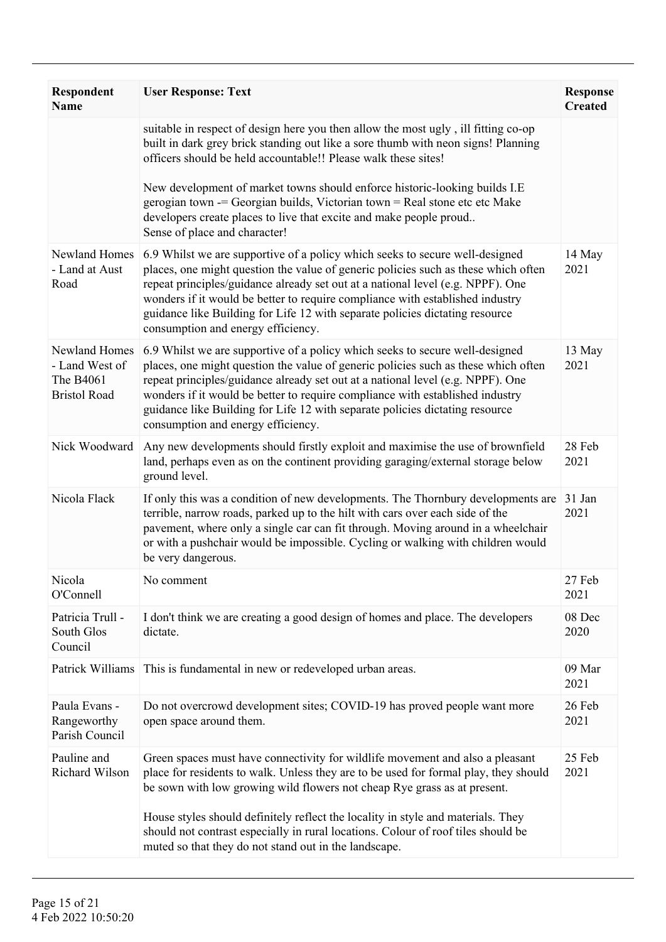| Respondent<br><b>Name</b>                                           | <b>User Response: Text</b>                                                                                                                                                                                                                                                                                                                                                                                                                                   | <b>Response</b><br><b>Created</b> |
|---------------------------------------------------------------------|--------------------------------------------------------------------------------------------------------------------------------------------------------------------------------------------------------------------------------------------------------------------------------------------------------------------------------------------------------------------------------------------------------------------------------------------------------------|-----------------------------------|
|                                                                     | suitable in respect of design here you then allow the most ugly, ill fitting co-op<br>built in dark grey brick standing out like a sore thumb with neon signs! Planning<br>officers should be held accountable!! Please walk these sites!                                                                                                                                                                                                                    |                                   |
|                                                                     | New development of market towns should enforce historic-looking builds I.E<br>gerogian town -= Georgian builds, Victorian town = Real stone etc etc Make<br>developers create places to live that excite and make people proud<br>Sense of place and character!                                                                                                                                                                                              |                                   |
| Newland Homes<br>- Land at Aust<br>Road                             | 6.9 Whilst we are supportive of a policy which seeks to secure well-designed<br>places, one might question the value of generic policies such as these which often<br>repeat principles/guidance already set out at a national level (e.g. NPPF). One<br>wonders if it would be better to require compliance with established industry<br>guidance like Building for Life 12 with separate policies dictating resource<br>consumption and energy efficiency. | 14 May<br>2021                    |
| Newland Homes<br>- Land West of<br>The B4061<br><b>Bristol Road</b> | 6.9 Whilst we are supportive of a policy which seeks to secure well-designed<br>places, one might question the value of generic policies such as these which often<br>repeat principles/guidance already set out at a national level (e.g. NPPF). One<br>wonders if it would be better to require compliance with established industry<br>guidance like Building for Life 12 with separate policies dictating resource<br>consumption and energy efficiency. | 13 May<br>2021                    |
| Nick Woodward                                                       | Any new developments should firstly exploit and maximise the use of brownfield<br>land, perhaps even as on the continent providing garaging/external storage below<br>ground level.                                                                                                                                                                                                                                                                          | 28 Feb<br>2021                    |
| Nicola Flack                                                        | If only this was a condition of new developments. The Thornbury developments are<br>terrible, narrow roads, parked up to the hilt with cars over each side of the<br>pavement, where only a single car can fit through. Moving around in a wheelchair<br>or with a pushchair would be impossible. Cycling or walking with children would<br>be very dangerous.                                                                                               | 31 Jan<br>2021                    |
| Nicola<br>O'Connell                                                 | No comment                                                                                                                                                                                                                                                                                                                                                                                                                                                   | 27 Feb<br>2021                    |
| Patricia Trull -<br>South Glos<br>Council                           | I don't think we are creating a good design of homes and place. The developers<br>dictate.                                                                                                                                                                                                                                                                                                                                                                   | 08 Dec<br>2020                    |
| Patrick Williams                                                    | This is fundamental in new or redeveloped urban areas.                                                                                                                                                                                                                                                                                                                                                                                                       | 09 Mar<br>2021                    |
| Paula Evans -<br>Rangeworthy<br>Parish Council                      | Do not overcrowd development sites; COVID-19 has proved people want more<br>open space around them.                                                                                                                                                                                                                                                                                                                                                          | 26 Feb<br>2021                    |
| Pauline and<br>Richard Wilson                                       | Green spaces must have connectivity for wildlife movement and also a pleasant<br>place for residents to walk. Unless they are to be used for formal play, they should<br>be sown with low growing wild flowers not cheap Rye grass as at present.                                                                                                                                                                                                            | 25 Feb<br>2021                    |
|                                                                     | House styles should definitely reflect the locality in style and materials. They<br>should not contrast especially in rural locations. Colour of roof tiles should be<br>muted so that they do not stand out in the landscape.                                                                                                                                                                                                                               |                                   |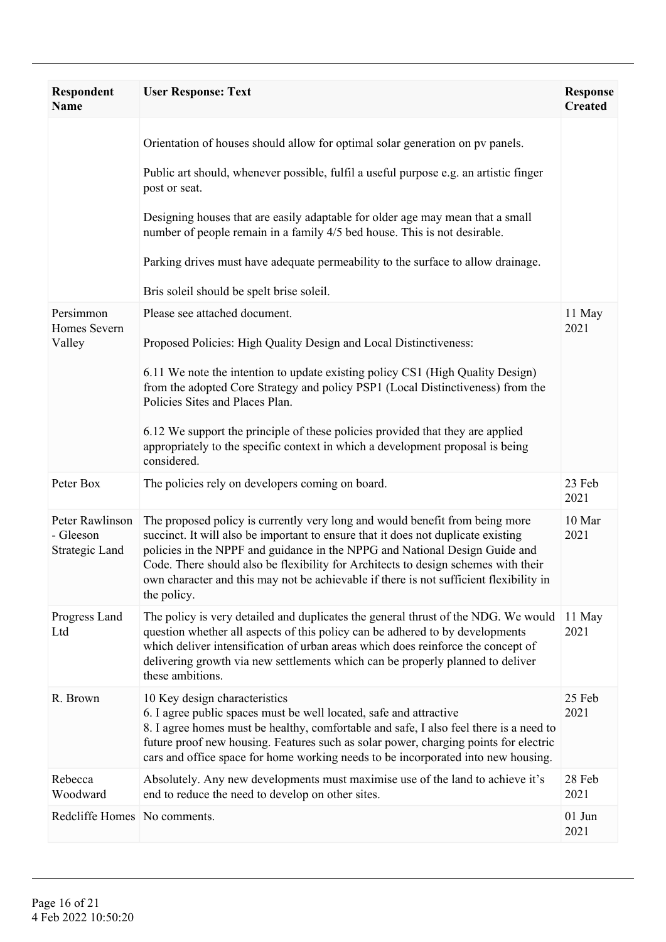| <b>Respondent</b><br><b>Name</b>                      | <b>User Response: Text</b>                                                                                                                                                                                                                                                                                                                                                                                                                                                                    | <b>Response</b><br><b>Created</b> |
|-------------------------------------------------------|-----------------------------------------------------------------------------------------------------------------------------------------------------------------------------------------------------------------------------------------------------------------------------------------------------------------------------------------------------------------------------------------------------------------------------------------------------------------------------------------------|-----------------------------------|
|                                                       | Orientation of houses should allow for optimal solar generation on pv panels.<br>Public art should, whenever possible, fulfil a useful purpose e.g. an artistic finger<br>post or seat.<br>Designing houses that are easily adaptable for older age may mean that a small<br>number of people remain in a family 4/5 bed house. This is not desirable.<br>Parking drives must have adequate permeability to the surface to allow drainage.<br>Bris soleil should be spelt brise soleil.       |                                   |
| Persimmon<br>Homes Severn<br>Valley                   | Please see attached document.<br>Proposed Policies: High Quality Design and Local Distinctiveness:<br>6.11 We note the intention to update existing policy CS1 (High Quality Design)<br>from the adopted Core Strategy and policy PSP1 (Local Distinctiveness) from the<br>Policies Sites and Places Plan.<br>6.12 We support the principle of these policies provided that they are applied<br>appropriately to the specific context in which a development proposal is being<br>considered. | 11 May<br>2021                    |
| Peter Box                                             | The policies rely on developers coming on board.                                                                                                                                                                                                                                                                                                                                                                                                                                              | 23 Feb<br>2021                    |
| Peter Rawlinson<br>- Gleeson<br><b>Strategic Land</b> | The proposed policy is currently very long and would benefit from being more<br>succinct. It will also be important to ensure that it does not duplicate existing<br>policies in the NPPF and guidance in the NPPG and National Design Guide and<br>Code. There should also be flexibility for Architects to design schemes with their<br>own character and this may not be achievable if there is not sufficient flexibility in<br>the policy.                                               | 10 Mar<br>2021                    |
| Progress Land<br>Ltd                                  | The policy is very detailed and duplicates the general thrust of the NDG. We would<br>question whether all aspects of this policy can be adhered to by developments<br>which deliver intensification of urban areas which does reinforce the concept of<br>delivering growth via new settlements which can be properly planned to deliver<br>these ambitions.                                                                                                                                 | 11 May<br>2021                    |
| R. Brown                                              | 10 Key design characteristics<br>6. I agree public spaces must be well located, safe and attractive<br>8. I agree homes must be healthy, comfortable and safe, I also feel there is a need to<br>future proof new housing. Features such as solar power, charging points for electric<br>cars and office space for home working needs to be incorporated into new housing.                                                                                                                    | 25 Feb<br>2021                    |
| Rebecca<br>Woodward                                   | Absolutely. Any new developments must maximise use of the land to achieve it's<br>end to reduce the need to develop on other sites.                                                                                                                                                                                                                                                                                                                                                           | 28 Feb<br>2021                    |
| Redcliffe Homes No comments.                          |                                                                                                                                                                                                                                                                                                                                                                                                                                                                                               | $01$ Jun<br>2021                  |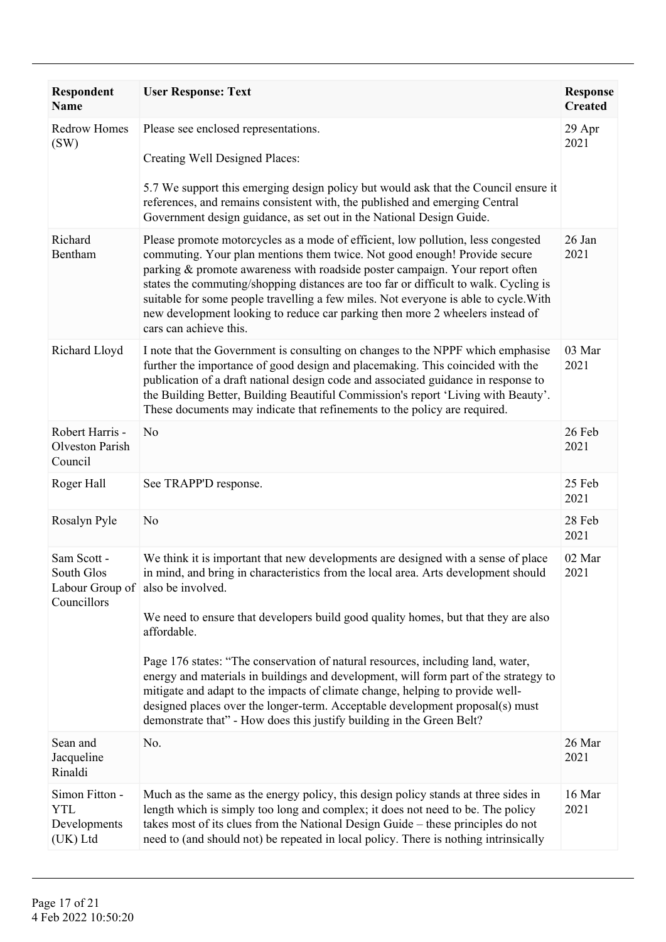| <b>Respondent</b><br><b>Name</b>                         | <b>User Response: Text</b>                                                                                                                                                                                                                                                                                                                                                                                                                                                                                                                                                                                                                                                                                                              | <b>Response</b><br><b>Created</b> |
|----------------------------------------------------------|-----------------------------------------------------------------------------------------------------------------------------------------------------------------------------------------------------------------------------------------------------------------------------------------------------------------------------------------------------------------------------------------------------------------------------------------------------------------------------------------------------------------------------------------------------------------------------------------------------------------------------------------------------------------------------------------------------------------------------------------|-----------------------------------|
| <b>Redrow Homes</b><br>(SW)                              | Please see enclosed representations.<br>Creating Well Designed Places:<br>5.7 We support this emerging design policy but would ask that the Council ensure it<br>references, and remains consistent with, the published and emerging Central<br>Government design guidance, as set out in the National Design Guide.                                                                                                                                                                                                                                                                                                                                                                                                                    | 29 Apr<br>2021                    |
| Richard<br>Bentham                                       | Please promote motorcycles as a mode of efficient, low pollution, less congested<br>commuting. Your plan mentions them twice. Not good enough! Provide secure<br>parking & promote awareness with roadside poster campaign. Your report often<br>states the commuting/shopping distances are too far or difficult to walk. Cycling is<br>suitable for some people travelling a few miles. Not everyone is able to cycle. With<br>new development looking to reduce car parking then more 2 wheelers instead of<br>cars can achieve this.                                                                                                                                                                                                | 26 Jan<br>2021                    |
| Richard Lloyd                                            | I note that the Government is consulting on changes to the NPPF which emphasise<br>further the importance of good design and placemaking. This coincided with the<br>publication of a draft national design code and associated guidance in response to<br>the Building Better, Building Beautiful Commission's report 'Living with Beauty'.<br>These documents may indicate that refinements to the policy are required.                                                                                                                                                                                                                                                                                                               | 03 Mar<br>2021                    |
| Robert Harris -<br>Olveston Parish<br>Council            | N <sub>0</sub>                                                                                                                                                                                                                                                                                                                                                                                                                                                                                                                                                                                                                                                                                                                          | 26 Feb<br>2021                    |
| Roger Hall                                               | See TRAPP'D response.                                                                                                                                                                                                                                                                                                                                                                                                                                                                                                                                                                                                                                                                                                                   | 25 Feb<br>2021                    |
| Rosalyn Pyle                                             | N <sub>0</sub>                                                                                                                                                                                                                                                                                                                                                                                                                                                                                                                                                                                                                                                                                                                          | 28 Feb<br>2021                    |
| Sam Scott -<br>South Glos<br>Councillors                 | We think it is important that new developments are designed with a sense of place<br>in mind, and bring in characteristics from the local area. Arts development should<br>Labour Group of also be involved.<br>We need to ensure that developers build good quality homes, but that they are also<br>affordable.<br>Page 176 states: "The conservation of natural resources, including land, water,<br>energy and materials in buildings and development, will form part of the strategy to<br>mitigate and adapt to the impacts of climate change, helping to provide well-<br>designed places over the longer-term. Acceptable development proposal(s) must<br>demonstrate that" - How does this justify building in the Green Belt? | 02 Mar<br>2021                    |
| Sean and<br>Jacqueline<br>Rinaldi                        | No.                                                                                                                                                                                                                                                                                                                                                                                                                                                                                                                                                                                                                                                                                                                                     | 26 Mar<br>2021                    |
| Simon Fitton -<br><b>YTL</b><br>Developments<br>(UK) Ltd | Much as the same as the energy policy, this design policy stands at three sides in<br>length which is simply too long and complex; it does not need to be. The policy<br>takes most of its clues from the National Design Guide – these principles do not<br>need to (and should not) be repeated in local policy. There is nothing intrinsically                                                                                                                                                                                                                                                                                                                                                                                       | 16 Mar<br>2021                    |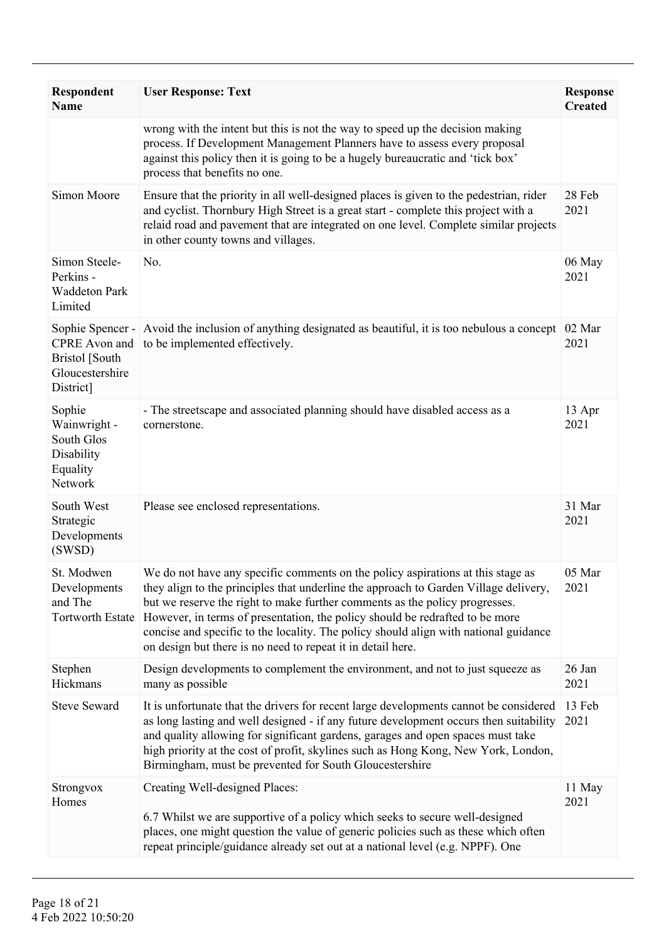| Respondent<br><b>Name</b>                                                 | <b>User Response: Text</b>                                                                                                                                                                                                                                                                                                                                                                                                                                                                    | <b>Response</b><br><b>Created</b> |
|---------------------------------------------------------------------------|-----------------------------------------------------------------------------------------------------------------------------------------------------------------------------------------------------------------------------------------------------------------------------------------------------------------------------------------------------------------------------------------------------------------------------------------------------------------------------------------------|-----------------------------------|
|                                                                           | wrong with the intent but this is not the way to speed up the decision making<br>process. If Development Management Planners have to assess every proposal<br>against this policy then it is going to be a hugely bureaucratic and 'tick box'<br>process that benefits no one.                                                                                                                                                                                                                |                                   |
| Simon Moore                                                               | Ensure that the priority in all well-designed places is given to the pedestrian, rider<br>and cyclist. Thornbury High Street is a great start - complete this project with a<br>relaid road and pavement that are integrated on one level. Complete similar projects<br>in other county towns and villages.                                                                                                                                                                                   | 28 Feb<br>2021                    |
| Simon Steele-<br>Perkins -<br><b>Waddeton Park</b><br>Limited             | No.                                                                                                                                                                                                                                                                                                                                                                                                                                                                                           | 06 May<br>2021                    |
| <b>Bristol</b> [South<br>Gloucestershire<br>District]                     | Sophie Spencer - Avoid the inclusion of anything designated as beautiful, it is too nebulous a concept<br>CPRE Avon and to be implemented effectively.                                                                                                                                                                                                                                                                                                                                        | 02 Mar<br>2021                    |
| Sophie<br>Wainwright -<br>South Glos<br>Disability<br>Equality<br>Network | - The streetscape and associated planning should have disabled access as a<br>cornerstone.                                                                                                                                                                                                                                                                                                                                                                                                    | 13 Apr<br>2021                    |
| South West<br>Strategic<br>Developments<br>(SWSD)                         | Please see enclosed representations.                                                                                                                                                                                                                                                                                                                                                                                                                                                          | 31 Mar<br>2021                    |
| St. Modwen<br>Developments<br>and The<br><b>Tortworth Estate</b>          | We do not have any specific comments on the policy aspirations at this stage as<br>they align to the principles that underline the approach to Garden Village delivery,<br>but we reserve the right to make further comments as the policy progresses.<br>However, in terms of presentation, the policy should be redrafted to be more<br>concise and specific to the locality. The policy should align with national guidance<br>on design but there is no need to repeat it in detail here. | 05 Mar<br>2021                    |
| Stephen<br>Hickmans                                                       | Design developments to complement the environment, and not to just squeeze as<br>many as possible                                                                                                                                                                                                                                                                                                                                                                                             | 26 Jan<br>2021                    |
| <b>Steve Seward</b>                                                       | It is unfortunate that the drivers for recent large developments cannot be considered<br>as long lasting and well designed - if any future development occurs then suitability<br>and quality allowing for significant gardens, garages and open spaces must take<br>high priority at the cost of profit, skylines such as Hong Kong, New York, London,<br>Birmingham, must be prevented for South Gloucestershire                                                                            | 13 Feb<br>2021                    |
| Strongvox<br>Homes                                                        | Creating Well-designed Places:<br>6.7 Whilst we are supportive of a policy which seeks to secure well-designed<br>places, one might question the value of generic policies such as these which often<br>repeat principle/guidance already set out at a national level (e.g. NPPF). One                                                                                                                                                                                                        | 11 May<br>2021                    |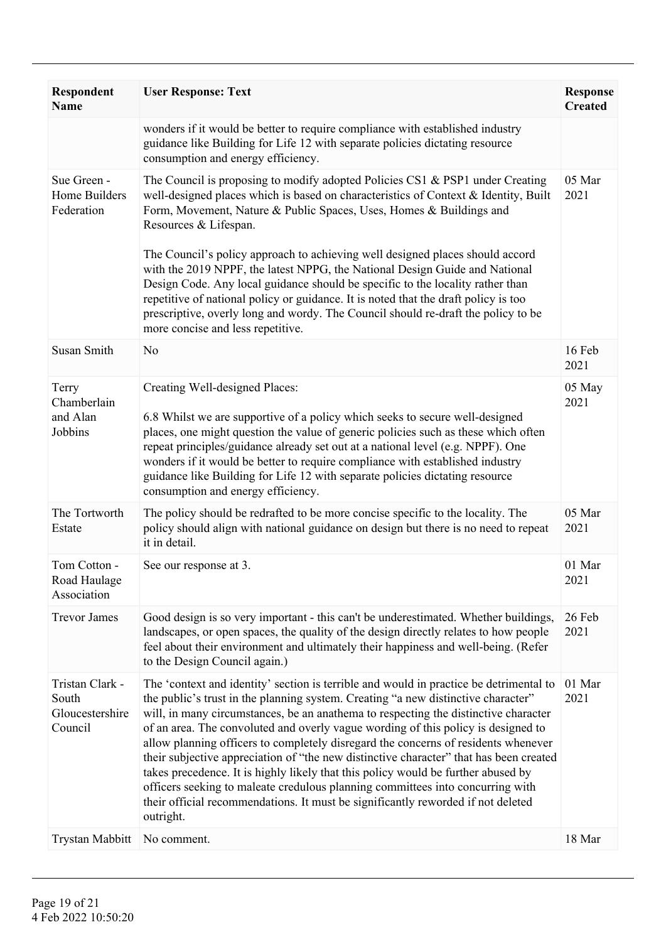| <b>Respondent</b><br><b>Name</b>                       | <b>User Response: Text</b>                                                                                                                                                                                                                                                                                                                                                                                                                                                                                                                                                                                                                                                                                                                                                                                      | <b>Response</b><br><b>Created</b> |
|--------------------------------------------------------|-----------------------------------------------------------------------------------------------------------------------------------------------------------------------------------------------------------------------------------------------------------------------------------------------------------------------------------------------------------------------------------------------------------------------------------------------------------------------------------------------------------------------------------------------------------------------------------------------------------------------------------------------------------------------------------------------------------------------------------------------------------------------------------------------------------------|-----------------------------------|
|                                                        | wonders if it would be better to require compliance with established industry<br>guidance like Building for Life 12 with separate policies dictating resource<br>consumption and energy efficiency.                                                                                                                                                                                                                                                                                                                                                                                                                                                                                                                                                                                                             |                                   |
| Sue Green -<br>Home Builders<br>Federation             | The Council is proposing to modify adopted Policies CS1 & PSP1 under Creating<br>well-designed places which is based on characteristics of Context & Identity, Built<br>Form, Movement, Nature & Public Spaces, Uses, Homes & Buildings and<br>Resources & Lifespan.                                                                                                                                                                                                                                                                                                                                                                                                                                                                                                                                            | 05 Mar<br>2021                    |
|                                                        | The Council's policy approach to achieving well designed places should accord<br>with the 2019 NPPF, the latest NPPG, the National Design Guide and National<br>Design Code. Any local guidance should be specific to the locality rather than<br>repetitive of national policy or guidance. It is noted that the draft policy is too<br>prescriptive, overly long and wordy. The Council should re-draft the policy to be<br>more concise and less repetitive.                                                                                                                                                                                                                                                                                                                                                 |                                   |
| Susan Smith                                            | No                                                                                                                                                                                                                                                                                                                                                                                                                                                                                                                                                                                                                                                                                                                                                                                                              | 16 Feb<br>2021                    |
| Terry<br>Chamberlain<br>and Alan<br>Jobbins            | Creating Well-designed Places:<br>6.8 Whilst we are supportive of a policy which seeks to secure well-designed<br>places, one might question the value of generic policies such as these which often<br>repeat principles/guidance already set out at a national level (e.g. NPPF). One<br>wonders if it would be better to require compliance with established industry<br>guidance like Building for Life 12 with separate policies dictating resource<br>consumption and energy efficiency.                                                                                                                                                                                                                                                                                                                  | 05 May<br>2021                    |
| The Tortworth<br>Estate                                | The policy should be redrafted to be more concise specific to the locality. The<br>policy should align with national guidance on design but there is no need to repeat<br>it in detail.                                                                                                                                                                                                                                                                                                                                                                                                                                                                                                                                                                                                                         | 05 Mar<br>2021                    |
| Tom Cotton -<br>Road Haulage<br>Association            | See our response at 3.                                                                                                                                                                                                                                                                                                                                                                                                                                                                                                                                                                                                                                                                                                                                                                                          | 01 Mar<br>2021                    |
| <b>Trevor James</b>                                    | Good design is so very important - this can't be underestimated. Whether buildings,<br>landscapes, or open spaces, the quality of the design directly relates to how people<br>feel about their environment and ultimately their happiness and well-being. (Refer<br>to the Design Council again.)                                                                                                                                                                                                                                                                                                                                                                                                                                                                                                              | 26 Feb<br>2021                    |
| Tristan Clark -<br>South<br>Gloucestershire<br>Council | The 'context and identity' section is terrible and would in practice be detrimental to<br>the public's trust in the planning system. Creating "a new distinctive character"<br>will, in many circumstances, be an anathema to respecting the distinctive character<br>of an area. The convoluted and overly vague wording of this policy is designed to<br>allow planning officers to completely disregard the concerns of residents whenever<br>their subjective appreciation of "the new distinctive character" that has been created<br>takes precedence. It is highly likely that this policy would be further abused by<br>officers seeking to maleate credulous planning committees into concurring with<br>their official recommendations. It must be significantly reworded if not deleted<br>outright. | 01 Mar<br>2021                    |
| <b>Trystan Mabbitt</b>                                 | No comment.                                                                                                                                                                                                                                                                                                                                                                                                                                                                                                                                                                                                                                                                                                                                                                                                     | 18 Mar                            |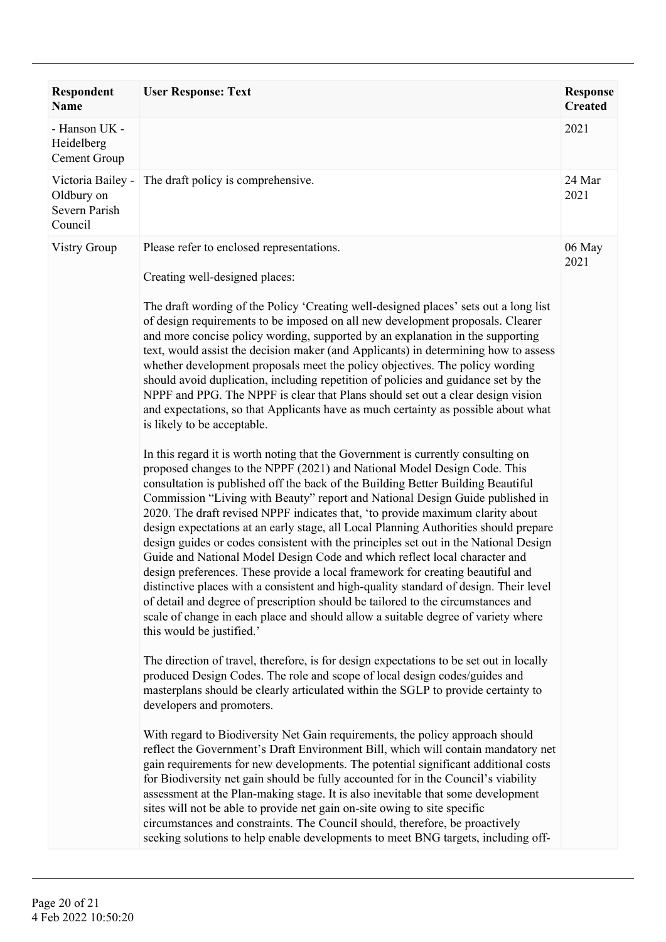| <b>Respondent</b><br><b>Name</b>                            | <b>User Response: Text</b>                                                                                                                                                                                                                                                                                                                                                                                                                                                                                                                                                                                                                                                                                                                                                                                                                                                                                                                                                                                                                                                                                                                                                                                                                                                                                                                                                                                                                                                                                                                                                                                                                                                                                                                                                                                                                                                                                                                                                                                                                                                                                                                                                                                                                                                                                                                                                                                                                                                                                                                                                                                                                                                                                                                                                                                                                                            | <b>Response</b><br><b>Created</b> |
|-------------------------------------------------------------|-----------------------------------------------------------------------------------------------------------------------------------------------------------------------------------------------------------------------------------------------------------------------------------------------------------------------------------------------------------------------------------------------------------------------------------------------------------------------------------------------------------------------------------------------------------------------------------------------------------------------------------------------------------------------------------------------------------------------------------------------------------------------------------------------------------------------------------------------------------------------------------------------------------------------------------------------------------------------------------------------------------------------------------------------------------------------------------------------------------------------------------------------------------------------------------------------------------------------------------------------------------------------------------------------------------------------------------------------------------------------------------------------------------------------------------------------------------------------------------------------------------------------------------------------------------------------------------------------------------------------------------------------------------------------------------------------------------------------------------------------------------------------------------------------------------------------------------------------------------------------------------------------------------------------------------------------------------------------------------------------------------------------------------------------------------------------------------------------------------------------------------------------------------------------------------------------------------------------------------------------------------------------------------------------------------------------------------------------------------------------------------------------------------------------------------------------------------------------------------------------------------------------------------------------------------------------------------------------------------------------------------------------------------------------------------------------------------------------------------------------------------------------------------------------------------------------------------------------------------------------|-----------------------------------|
| - Hanson UK -<br>Heidelberg<br>Cement Group                 |                                                                                                                                                                                                                                                                                                                                                                                                                                                                                                                                                                                                                                                                                                                                                                                                                                                                                                                                                                                                                                                                                                                                                                                                                                                                                                                                                                                                                                                                                                                                                                                                                                                                                                                                                                                                                                                                                                                                                                                                                                                                                                                                                                                                                                                                                                                                                                                                                                                                                                                                                                                                                                                                                                                                                                                                                                                                       | 2021                              |
| Victoria Bailey -<br>Oldbury on<br>Severn Parish<br>Council | The draft policy is comprehensive.                                                                                                                                                                                                                                                                                                                                                                                                                                                                                                                                                                                                                                                                                                                                                                                                                                                                                                                                                                                                                                                                                                                                                                                                                                                                                                                                                                                                                                                                                                                                                                                                                                                                                                                                                                                                                                                                                                                                                                                                                                                                                                                                                                                                                                                                                                                                                                                                                                                                                                                                                                                                                                                                                                                                                                                                                                    | 24 Mar<br>2021                    |
| <b>Vistry Group</b>                                         | Please refer to enclosed representations.<br>Creating well-designed places:<br>The draft wording of the Policy 'Creating well-designed places' sets out a long list<br>of design requirements to be imposed on all new development proposals. Clearer<br>and more concise policy wording, supported by an explanation in the supporting<br>text, would assist the decision maker (and Applicants) in determining how to assess<br>whether development proposals meet the policy objectives. The policy wording<br>should avoid duplication, including repetition of policies and guidance set by the<br>NPPF and PPG. The NPPF is clear that Plans should set out a clear design vision<br>and expectations, so that Applicants have as much certainty as possible about what<br>is likely to be acceptable.<br>In this regard it is worth noting that the Government is currently consulting on<br>proposed changes to the NPPF (2021) and National Model Design Code. This<br>consultation is published off the back of the Building Better Building Beautiful<br>Commission "Living with Beauty" report and National Design Guide published in<br>2020. The draft revised NPPF indicates that, 'to provide maximum clarity about<br>design expectations at an early stage, all Local Planning Authorities should prepare<br>design guides or codes consistent with the principles set out in the National Design<br>Guide and National Model Design Code and which reflect local character and<br>design preferences. These provide a local framework for creating beautiful and<br>distinctive places with a consistent and high-quality standard of design. Their level<br>of detail and degree of prescription should be tailored to the circumstances and<br>scale of change in each place and should allow a suitable degree of variety where<br>this would be justified.'<br>The direction of travel, therefore, is for design expectations to be set out in locally<br>produced Design Codes. The role and scope of local design codes/guides and<br>masterplans should be clearly articulated within the SGLP to provide certainty to<br>developers and promoters.<br>With regard to Biodiversity Net Gain requirements, the policy approach should<br>reflect the Government's Draft Environment Bill, which will contain mandatory net<br>gain requirements for new developments. The potential significant additional costs<br>for Biodiversity net gain should be fully accounted for in the Council's viability<br>assessment at the Plan-making stage. It is also inevitable that some development<br>sites will not be able to provide net gain on-site owing to site specific<br>circumstances and constraints. The Council should, therefore, be proactively<br>seeking solutions to help enable developments to meet BNG targets, including off- | 06 May<br>2021                    |